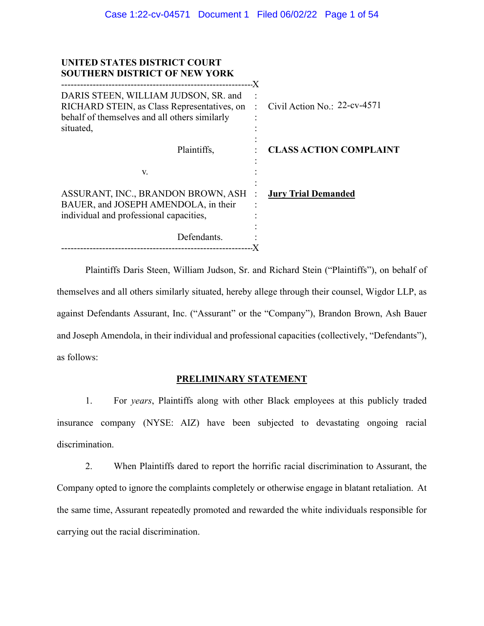| UNITED STATES DISTRICT COURT<br><b>SOUTHERN DISTRICT OF NEW YORK</b>                                                                              |                                           |
|---------------------------------------------------------------------------------------------------------------------------------------------------|-------------------------------------------|
| DARIS STEEN, WILLIAM JUDSON, SR. and<br>RICHARD STEIN, as Class Representatives, on<br>behalf of themselves and all others similarly<br>situated, | Civil Action No.: 22-cv-4571<br>$\sim$ 1. |
| Plaintiffs,                                                                                                                                       | <b>CLASS ACTION COMPLAINT</b>             |
| V.                                                                                                                                                |                                           |
| ASSURANT, INC., BRANDON BROWN, ASH :<br>BAUER, and JOSEPH AMENDOLA, in their<br>individual and professional capacities,                           | <b>Jury Trial Demanded</b>                |
| Defendants.                                                                                                                                       |                                           |

Plaintiffs Daris Steen, William Judson, Sr. and Richard Stein ("Plaintiffs"), on behalf of themselves and all others similarly situated, hereby allege through their counsel, Wigdor LLP, as against Defendants Assurant, Inc. ("Assurant" or the "Company"), Brandon Brown, Ash Bauer and Joseph Amendola, in their individual and professional capacities (collectively, "Defendants"), as follows:

## **PRELIMINARY STATEMENT**

1. For *years*, Plaintiffs along with other Black employees at this publicly traded insurance company (NYSE: AIZ) have been subjected to devastating ongoing racial discrimination.

2. When Plaintiffs dared to report the horrific racial discrimination to Assurant, the Company opted to ignore the complaints completely or otherwise engage in blatant retaliation. At the same time, Assurant repeatedly promoted and rewarded the white individuals responsible for carrying out the racial discrimination.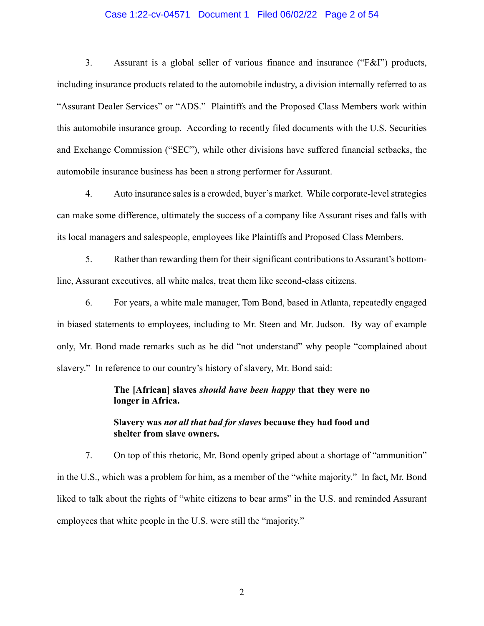#### Case 1:22-cv-04571 Document 1 Filed 06/02/22 Page 2 of 54

3. Assurant is a global seller of various finance and insurance ("F&I") products, including insurance products related to the automobile industry, a division internally referred to as "Assurant Dealer Services" or "ADS." Plaintiffs and the Proposed Class Members work within this automobile insurance group. According to recently filed documents with the U.S. Securities and Exchange Commission ("SEC"), while other divisions have suffered financial setbacks, the automobile insurance business has been a strong performer for Assurant.

4. Auto insurance sales is a crowded, buyer's market. While corporate-level strategies can make some difference, ultimately the success of a company like Assurant rises and falls with its local managers and salespeople, employees like Plaintiffs and Proposed Class Members.

5. Rather than rewarding them for their significant contributions to Assurant's bottomline, Assurant executives, all white males, treat them like second-class citizens.

6. For years, a white male manager, Tom Bond, based in Atlanta, repeatedly engaged in biased statements to employees, including to Mr. Steen and Mr. Judson. By way of example only, Mr. Bond made remarks such as he did "not understand" why people "complained about slavery." In reference to our country's history of slavery, Mr. Bond said:

### **The [African] slaves** *should have been happy* **that they were no longer in Africa.**

### **Slavery was** *not all that bad for slaves* **because they had food and shelter from slave owners.**

7. On top of this rhetoric, Mr. Bond openly griped about a shortage of "ammunition" in the U.S., which was a problem for him, as a member of the "white majority." In fact, Mr. Bond liked to talk about the rights of "white citizens to bear arms" in the U.S. and reminded Assurant employees that white people in the U.S. were still the "majority."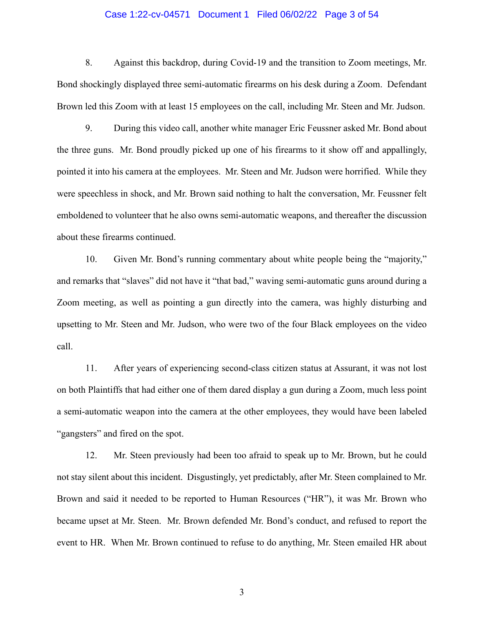#### Case 1:22-cv-04571 Document 1 Filed 06/02/22 Page 3 of 54

8. Against this backdrop, during Covid-19 and the transition to Zoom meetings, Mr. Bond shockingly displayed three semi-automatic firearms on his desk during a Zoom. Defendant Brown led this Zoom with at least 15 employees on the call, including Mr. Steen and Mr. Judson.

9. During this video call, another white manager Eric Feussner asked Mr. Bond about the three guns. Mr. Bond proudly picked up one of his firearms to it show off and appallingly, pointed it into his camera at the employees. Mr. Steen and Mr. Judson were horrified. While they were speechless in shock, and Mr. Brown said nothing to halt the conversation, Mr. Feussner felt emboldened to volunteer that he also owns semi-automatic weapons, and thereafter the discussion about these firearms continued.

10. Given Mr. Bond's running commentary about white people being the "majority," and remarks that "slaves" did not have it "that bad," waving semi-automatic guns around during a Zoom meeting, as well as pointing a gun directly into the camera, was highly disturbing and upsetting to Mr. Steen and Mr. Judson, who were two of the four Black employees on the video call.

11. After years of experiencing second-class citizen status at Assurant, it was not lost on both Plaintiffs that had either one of them dared display a gun during a Zoom, much less point a semi-automatic weapon into the camera at the other employees, they would have been labeled "gangsters" and fired on the spot.

12. Mr. Steen previously had been too afraid to speak up to Mr. Brown, but he could not stay silent about this incident. Disgustingly, yet predictably, after Mr. Steen complained to Mr. Brown and said it needed to be reported to Human Resources ("HR"), it was Mr. Brown who became upset at Mr. Steen. Mr. Brown defended Mr. Bond's conduct, and refused to report the event to HR. When Mr. Brown continued to refuse to do anything, Mr. Steen emailed HR about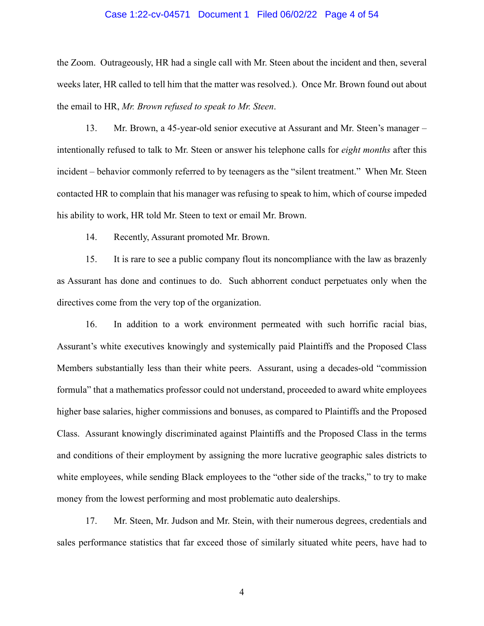#### Case 1:22-cv-04571 Document 1 Filed 06/02/22 Page 4 of 54

the Zoom. Outrageously, HR had a single call with Mr. Steen about the incident and then, several weeks later, HR called to tell him that the matter was resolved.). Once Mr. Brown found out about the email to HR, *Mr. Brown refused to speak to Mr. Steen*.

13. Mr. Brown, a 45-year-old senior executive at Assurant and Mr. Steen's manager – intentionally refused to talk to Mr. Steen or answer his telephone calls for *eight months* after this incident – behavior commonly referred to by teenagers as the "silent treatment." When Mr. Steen contacted HR to complain that his manager was refusing to speak to him, which of course impeded his ability to work, HR told Mr. Steen to text or email Mr. Brown.

14. Recently, Assurant promoted Mr. Brown.

15. It is rare to see a public company flout its noncompliance with the law as brazenly as Assurant has done and continues to do. Such abhorrent conduct perpetuates only when the directives come from the very top of the organization.

16. In addition to a work environment permeated with such horrific racial bias, Assurant's white executives knowingly and systemically paid Plaintiffs and the Proposed Class Members substantially less than their white peers. Assurant, using a decades-old "commission formula" that a mathematics professor could not understand, proceeded to award white employees higher base salaries, higher commissions and bonuses, as compared to Plaintiffs and the Proposed Class. Assurant knowingly discriminated against Plaintiffs and the Proposed Class in the terms and conditions of their employment by assigning the more lucrative geographic sales districts to white employees, while sending Black employees to the "other side of the tracks," to try to make money from the lowest performing and most problematic auto dealerships.

17. Mr. Steen, Mr. Judson and Mr. Stein, with their numerous degrees, credentials and sales performance statistics that far exceed those of similarly situated white peers, have had to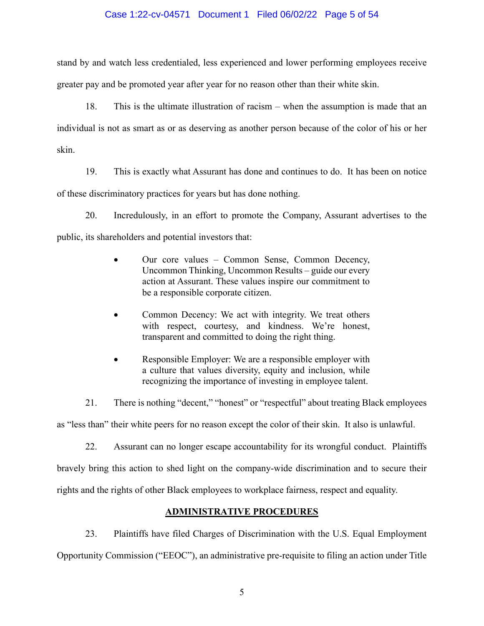#### Case 1:22-cv-04571 Document 1 Filed 06/02/22 Page 5 of 54

stand by and watch less credentialed, less experienced and lower performing employees receive greater pay and be promoted year after year for no reason other than their white skin.

18. This is the ultimate illustration of racism – when the assumption is made that an individual is not as smart as or as deserving as another person because of the color of his or her skin.

19. This is exactly what Assurant has done and continues to do. It has been on notice of these discriminatory practices for years but has done nothing.

20. Incredulously, in an effort to promote the Company, Assurant advertises to the public, its shareholders and potential investors that:

- Our core values Common Sense, Common Decency, Uncommon Thinking, Uncommon Results – guide our every action at Assurant. These values inspire our commitment to be a responsible corporate citizen.
- Common Decency: We act with integrity. We treat others with respect, courtesy, and kindness. We're honest, transparent and committed to doing the right thing.
- Responsible Employer: We are a responsible employer with a culture that values diversity, equity and inclusion, while recognizing the importance of investing in employee talent.

21. There is nothing "decent," "honest" or "respectful" about treating Black employees as "less than" their white peers for no reason except the color of their skin. It also is unlawful.

22. Assurant can no longer escape accountability for its wrongful conduct. Plaintiffs bravely bring this action to shed light on the company-wide discrimination and to secure their rights and the rights of other Black employees to workplace fairness, respect and equality.

# **ADMINISTRATIVE PROCEDURES**

23. Plaintiffs have filed Charges of Discrimination with the U.S. Equal Employment Opportunity Commission ("EEOC"), an administrative pre-requisite to filing an action under Title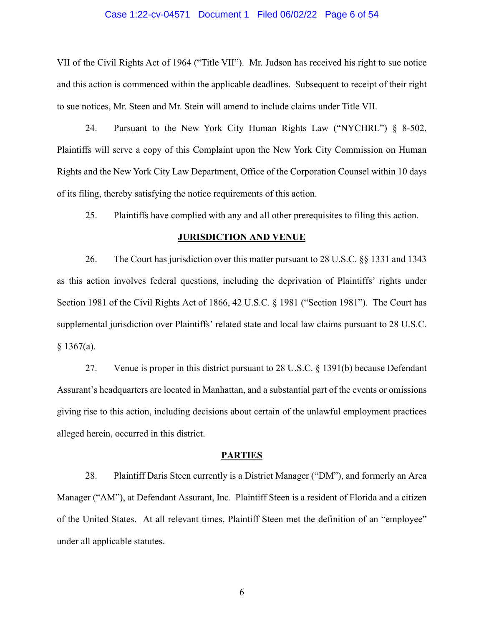#### Case 1:22-cv-04571 Document 1 Filed 06/02/22 Page 6 of 54

VII of the Civil Rights Act of 1964 ("Title VII"). Mr. Judson has received his right to sue notice and this action is commenced within the applicable deadlines. Subsequent to receipt of their right to sue notices, Mr. Steen and Mr. Stein will amend to include claims under Title VII.

24. Pursuant to the New York City Human Rights Law ("NYCHRL") § 8-502, Plaintiffs will serve a copy of this Complaint upon the New York City Commission on Human Rights and the New York City Law Department, Office of the Corporation Counsel within 10 days of its filing, thereby satisfying the notice requirements of this action.

25. Plaintiffs have complied with any and all other prerequisites to filing this action.

#### **JURISDICTION AND VENUE**

26. The Court has jurisdiction over this matter pursuant to 28 U.S.C. §§ 1331 and 1343 as this action involves federal questions, including the deprivation of Plaintiffs' rights under Section 1981 of the Civil Rights Act of 1866, 42 U.S.C. § 1981 ("Section 1981"). The Court has supplemental jurisdiction over Plaintiffs' related state and local law claims pursuant to 28 U.S.C.  $§ 1367(a).$ 

27. Venue is proper in this district pursuant to 28 U.S.C. § 1391(b) because Defendant Assurant's headquarters are located in Manhattan, and a substantial part of the events or omissions giving rise to this action, including decisions about certain of the unlawful employment practices alleged herein, occurred in this district.

#### **PARTIES**

28. Plaintiff Daris Steen currently is a District Manager ("DM"), and formerly an Area Manager ("AM"), at Defendant Assurant, Inc. Plaintiff Steen is a resident of Florida and a citizen of the United States. At all relevant times, Plaintiff Steen met the definition of an "employee" under all applicable statutes.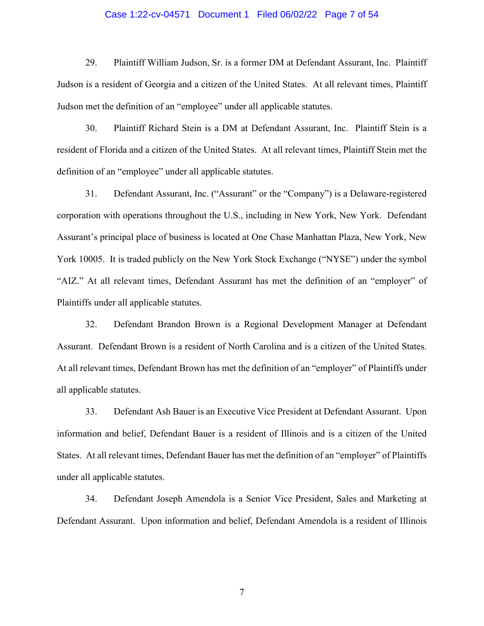#### Case 1:22-cv-04571 Document 1 Filed 06/02/22 Page 7 of 54

29. Plaintiff William Judson, Sr. is a former DM at Defendant Assurant, Inc. Plaintiff Judson is a resident of Georgia and a citizen of the United States. At all relevant times, Plaintiff Judson met the definition of an "employee" under all applicable statutes.

30. Plaintiff Richard Stein is a DM at Defendant Assurant, Inc. Plaintiff Stein is a resident of Florida and a citizen of the United States. At all relevant times, Plaintiff Stein met the definition of an "employee" under all applicable statutes.

31. Defendant Assurant, Inc. ("Assurant" or the "Company") is a Delaware-registered corporation with operations throughout the U.S., including in New York, New York. Defendant Assurant's principal place of business is located at One Chase Manhattan Plaza, New York, New York 10005. It is traded publicly on the New York Stock Exchange ("NYSE") under the symbol "AIZ." At all relevant times, Defendant Assurant has met the definition of an "employer" of Plaintiffs under all applicable statutes.

32. Defendant Brandon Brown is a Regional Development Manager at Defendant Assurant. Defendant Brown is a resident of North Carolina and is a citizen of the United States. At all relevant times, Defendant Brown has met the definition of an "employer" of Plaintiffs under all applicable statutes.

33. Defendant Ash Bauer is an Executive Vice President at Defendant Assurant. Upon information and belief, Defendant Bauer is a resident of Illinois and is a citizen of the United States. At all relevant times, Defendant Bauer has met the definition of an "employer" of Plaintiffs under all applicable statutes.

34. Defendant Joseph Amendola is a Senior Vice President, Sales and Marketing at Defendant Assurant. Upon information and belief, Defendant Amendola is a resident of Illinois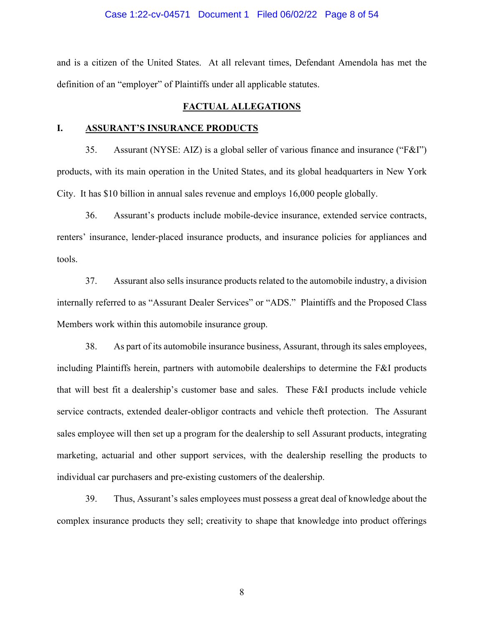#### Case 1:22-cv-04571 Document 1 Filed 06/02/22 Page 8 of 54

and is a citizen of the United States. At all relevant times, Defendant Amendola has met the definition of an "employer" of Plaintiffs under all applicable statutes.

#### **FACTUAL ALLEGATIONS**

#### **I. ASSURANT'S INSURANCE PRODUCTS**

35. Assurant (NYSE: AIZ) is a global seller of various finance and insurance ("F&I") products, with its main operation in the United States, and its global headquarters in New York City. It has \$10 billion in annual sales revenue and employs 16,000 people globally.

36. Assurant's products include mobile-device insurance, extended service contracts, renters' insurance, lender-placed insurance products, and insurance policies for appliances and tools.

37. Assurant also sells insurance products related to the automobile industry, a division internally referred to as "Assurant Dealer Services" or "ADS." Plaintiffs and the Proposed Class Members work within this automobile insurance group.

38. As part of its automobile insurance business, Assurant, through its sales employees, including Plaintiffs herein, partners with automobile dealerships to determine the F&I products that will best fit a dealership's customer base and sales. These F&I products include vehicle service contracts, extended dealer-obligor contracts and vehicle theft protection. The Assurant sales employee will then set up a program for the dealership to sell Assurant products, integrating marketing, actuarial and other support services, with the dealership reselling the products to individual car purchasers and pre-existing customers of the dealership.

39. Thus, Assurant's sales employees must possess a great deal of knowledge about the complex insurance products they sell; creativity to shape that knowledge into product offerings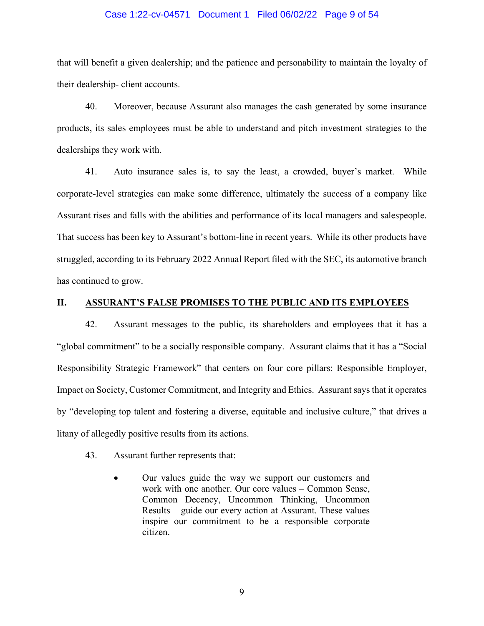#### Case 1:22-cv-04571 Document 1 Filed 06/02/22 Page 9 of 54

that will benefit a given dealership; and the patience and personability to maintain the loyalty of their dealership- client accounts.

40. Moreover, because Assurant also manages the cash generated by some insurance products, its sales employees must be able to understand and pitch investment strategies to the dealerships they work with.

41. Auto insurance sales is, to say the least, a crowded, buyer's market. While corporate-level strategies can make some difference, ultimately the success of a company like Assurant rises and falls with the abilities and performance of its local managers and salespeople. That success has been key to Assurant's bottom-line in recent years. While its other products have struggled, according to its February 2022 Annual Report filed with the SEC, its automotive branch has continued to grow.

#### **II. ASSURANT'S FALSE PROMISES TO THE PUBLIC AND ITS EMPLOYEES**

42. Assurant messages to the public, its shareholders and employees that it has a "global commitment" to be a socially responsible company. Assurant claims that it has a "Social Responsibility Strategic Framework" that centers on four core pillars: Responsible Employer, Impact on Society, Customer Commitment, and Integrity and Ethics. Assurant says that it operates by "developing top talent and fostering a diverse, equitable and inclusive culture," that drives a litany of allegedly positive results from its actions.

- 43. Assurant further represents that:
	- Our values guide the way we support our customers and work with one another. Our core values – Common Sense, Common Decency, Uncommon Thinking, Uncommon Results – guide our every action at Assurant. These values inspire our commitment to be a responsible corporate citizen.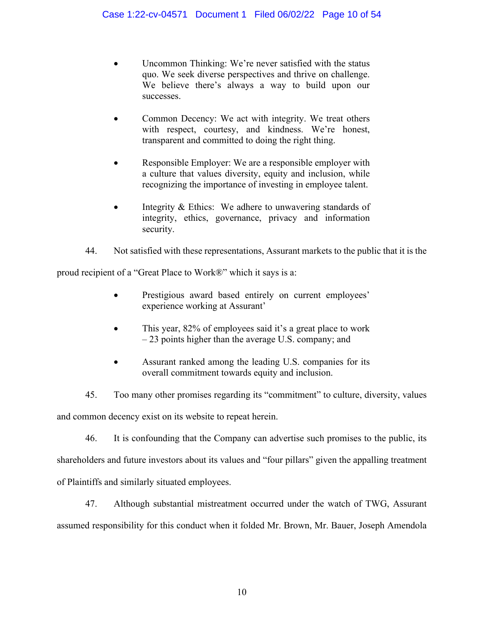- Uncommon Thinking: We're never satisfied with the status quo. We seek diverse perspectives and thrive on challenge. We believe there's always a way to build upon our successes.
- Common Decency: We act with integrity. We treat others with respect, courtesy, and kindness. We're honest, transparent and committed to doing the right thing.
- Responsible Employer: We are a responsible employer with a culture that values diversity, equity and inclusion, while recognizing the importance of investing in employee talent.
- Integrity & Ethics: We adhere to unwavering standards of integrity, ethics, governance, privacy and information security.
- 44. Not satisfied with these representations, Assurant markets to the public that it is the

proud recipient of a "Great Place to Work®" which it says is a:

- Prestigious award based entirely on current employees' experience working at Assurant'
- This year, 82% of employees said it's a great place to work – 23 points higher than the average U.S. company; and
- Assurant ranked among the leading U.S. companies for its overall commitment towards equity and inclusion.

45. Too many other promises regarding its "commitment" to culture, diversity, values and common decency exist on its website to repeat herein.

46. It is confounding that the Company can advertise such promises to the public, its shareholders and future investors about its values and "four pillars" given the appalling treatment of Plaintiffs and similarly situated employees.

47. Although substantial mistreatment occurred under the watch of TWG, Assurant assumed responsibility for this conduct when it folded Mr. Brown, Mr. Bauer, Joseph Amendola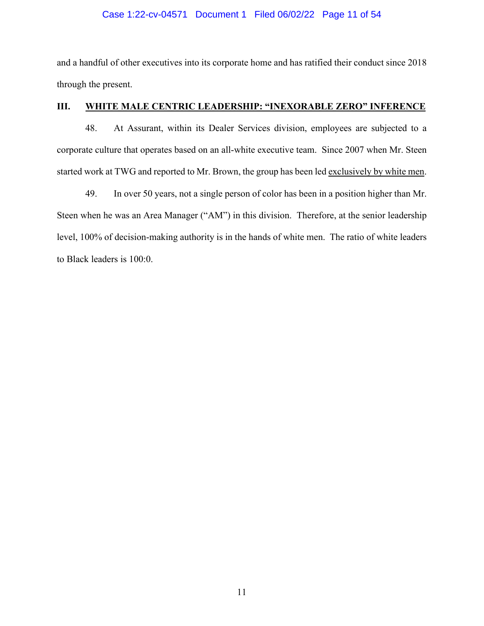# Case 1:22-cv-04571 Document 1 Filed 06/02/22 Page 11 of 54

and a handful of other executives into its corporate home and has ratified their conduct since 2018 through the present.

# **III. WHITE MALE CENTRIC LEADERSHIP: "INEXORABLE ZERO" INFERENCE**

48. At Assurant, within its Dealer Services division, employees are subjected to a corporate culture that operates based on an all-white executive team. Since 2007 when Mr. Steen started work at TWG and reported to Mr. Brown, the group has been led exclusively by white men.

49. In over 50 years, not a single person of color has been in a position higher than Mr. Steen when he was an Area Manager ("AM") in this division. Therefore, at the senior leadership level, 100% of decision-making authority is in the hands of white men. The ratio of white leaders to Black leaders is 100:0.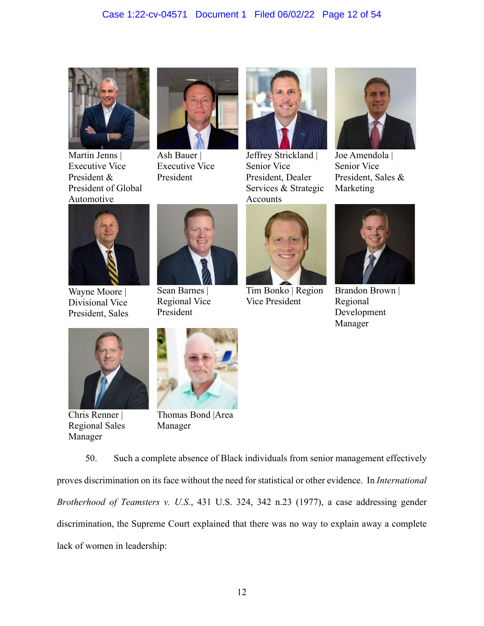# Case 1:22-cv-04571 Document 1 Filed 06/02/22 Page 12 of 54



Martin Jenns | Executive Vice President & President of Global Automotive



Ash Bauer | Executive Vice President



Jeffrey Strickland | Senior Vice President, Dealer Services & Strategic Accounts



Joe Amendola | Senior Vice President, Sales & Marketing



Wayne Moore | Divisional Vice President, Sales



Sean Barnes | Regional Vice President



Tim Bonko | Region Vice President



Brandon Brown | Regional Development Manager



Chris Renner | Regional Sales Manager



Thomas Bond |Area Manager

50. Such a complete absence of Black individuals from senior management effectively proves discrimination on its face without the need for statistical or other evidence. In *International Brotherhood of Teamsters v. U.S.*, 431 U.S. 324, 342 n.23 (1977), a case addressing gender discrimination, the Supreme Court explained that there was no way to explain away a complete lack of women in leadership: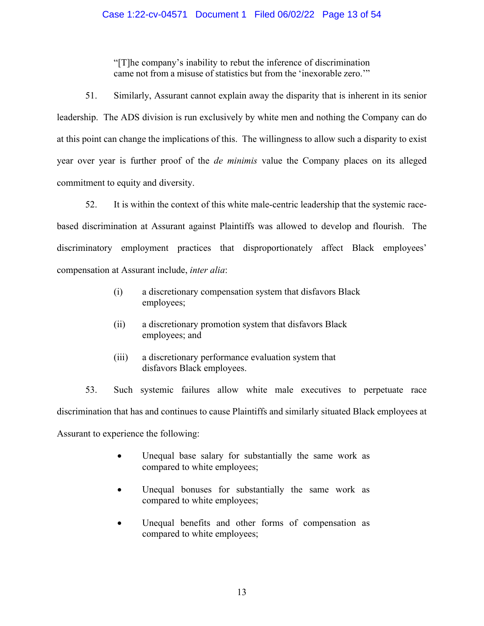# Case 1:22-cv-04571 Document 1 Filed 06/02/22 Page 13 of 54

"[T]he company's inability to rebut the inference of discrimination came not from a misuse of statistics but from the 'inexorable zero.'"

51. Similarly, Assurant cannot explain away the disparity that is inherent in its senior leadership. The ADS division is run exclusively by white men and nothing the Company can do at this point can change the implications of this. The willingness to allow such a disparity to exist year over year is further proof of the *de minimis* value the Company places on its alleged commitment to equity and diversity.

52. It is within the context of this white male-centric leadership that the systemic racebased discrimination at Assurant against Plaintiffs was allowed to develop and flourish. The discriminatory employment practices that disproportionately affect Black employees' compensation at Assurant include, *inter alia*:

- (i) a discretionary compensation system that disfavors Black employees;
- (ii) a discretionary promotion system that disfavors Black employees; and
- (iii) a discretionary performance evaluation system that disfavors Black employees.

53. Such systemic failures allow white male executives to perpetuate race discrimination that has and continues to cause Plaintiffs and similarly situated Black employees at Assurant to experience the following:

- Unequal base salary for substantially the same work as compared to white employees;
- Unequal bonuses for substantially the same work as compared to white employees;
- Unequal benefits and other forms of compensation as compared to white employees;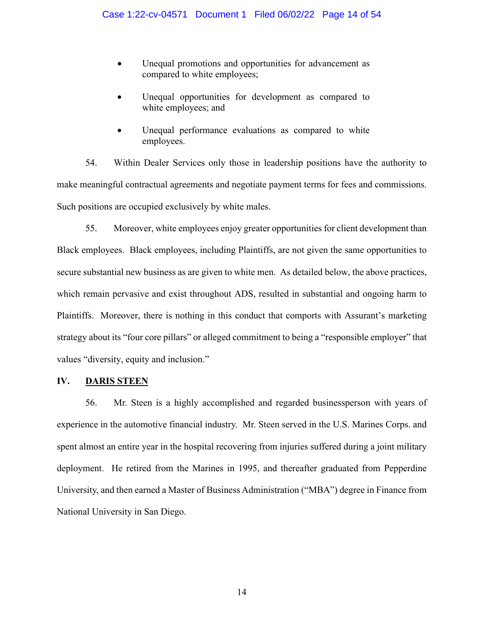- Unequal promotions and opportunities for advancement as compared to white employees;
- Unequal opportunities for development as compared to white employees; and
- Unequal performance evaluations as compared to white employees.

54. Within Dealer Services only those in leadership positions have the authority to make meaningful contractual agreements and negotiate payment terms for fees and commissions. Such positions are occupied exclusively by white males.

55. Moreover, white employees enjoy greater opportunities for client development than Black employees. Black employees, including Plaintiffs, are not given the same opportunities to secure substantial new business as are given to white men. As detailed below, the above practices, which remain pervasive and exist throughout ADS, resulted in substantial and ongoing harm to Plaintiffs. Moreover, there is nothing in this conduct that comports with Assurant's marketing strategy about its "four core pillars" or alleged commitment to being a "responsible employer" that values "diversity, equity and inclusion."

## **IV. DARIS STEEN**

56. Mr. Steen is a highly accomplished and regarded businessperson with years of experience in the automotive financial industry. Mr. Steen served in the U.S. Marines Corps. and spent almost an entire year in the hospital recovering from injuries suffered during a joint military deployment. He retired from the Marines in 1995, and thereafter graduated from Pepperdine University, and then earned a Master of Business Administration ("MBA") degree in Finance from National University in San Diego.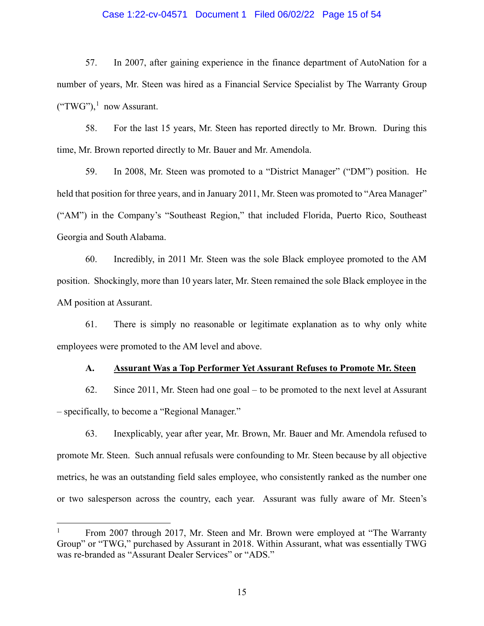#### Case 1:22-cv-04571 Document 1 Filed 06/02/22 Page 15 of 54

57. In 2007, after gaining experience in the finance department of AutoNation for a number of years, Mr. Steen was hired as a Financial Service Specialist by The Warranty Group  $({\rm ``TWG''}),^1$  now Assurant.

58. For the last 15 years, Mr. Steen has reported directly to Mr. Brown. During this time, Mr. Brown reported directly to Mr. Bauer and Mr. Amendola.

59. In 2008, Mr. Steen was promoted to a "District Manager" ("DM") position. He held that position for three years, and in January 2011, Mr. Steen was promoted to "Area Manager" ("AM") in the Company's "Southeast Region," that included Florida, Puerto Rico, Southeast Georgia and South Alabama.

60. Incredibly, in 2011 Mr. Steen was the sole Black employee promoted to the AM position. Shockingly, more than 10 years later, Mr. Steen remained the sole Black employee in the AM position at Assurant.

61. There is simply no reasonable or legitimate explanation as to why only white employees were promoted to the AM level and above.

#### **A. Assurant Was a Top Performer Yet Assurant Refuses to Promote Mr. Steen**

62. Since 2011, Mr. Steen had one goal – to be promoted to the next level at Assurant – specifically, to become a "Regional Manager."

63. Inexplicably, year after year, Mr. Brown, Mr. Bauer and Mr. Amendola refused to promote Mr. Steen. Such annual refusals were confounding to Mr. Steen because by all objective metrics, he was an outstanding field sales employee, who consistently ranked as the number one or two salesperson across the country, each year. Assurant was fully aware of Mr. Steen's

<sup>1</sup> From 2007 through 2017, Mr. Steen and Mr. Brown were employed at "The Warranty Group" or "TWG," purchased by Assurant in 2018. Within Assurant, what was essentially TWG was re-branded as "Assurant Dealer Services" or "ADS."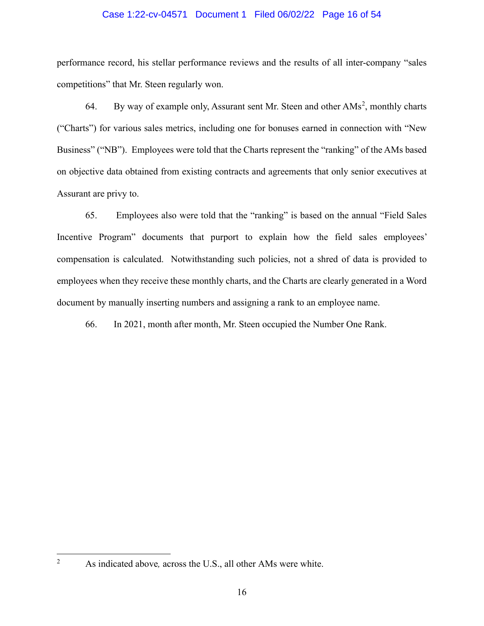#### Case 1:22-cv-04571 Document 1 Filed 06/02/22 Page 16 of 54

performance record, his stellar performance reviews and the results of all inter-company "sales competitions" that Mr. Steen regularly won.

64. By way of example only, Assurant sent Mr. Steen and other AMs<sup>2</sup>, monthly charts ("Charts") for various sales metrics, including one for bonuses earned in connection with "New Business" ("NB"). Employees were told that the Charts represent the "ranking" of the AMs based on objective data obtained from existing contracts and agreements that only senior executives at Assurant are privy to.

65. Employees also were told that the "ranking" is based on the annual "Field Sales Incentive Program" documents that purport to explain how the field sales employees' compensation is calculated. Notwithstanding such policies, not a shred of data is provided to employees when they receive these monthly charts, and the Charts are clearly generated in a Word document by manually inserting numbers and assigning a rank to an employee name.

66. In 2021, month after month, Mr. Steen occupied the Number One Rank.

As indicated above*,* across the U.S., all other AMs were white.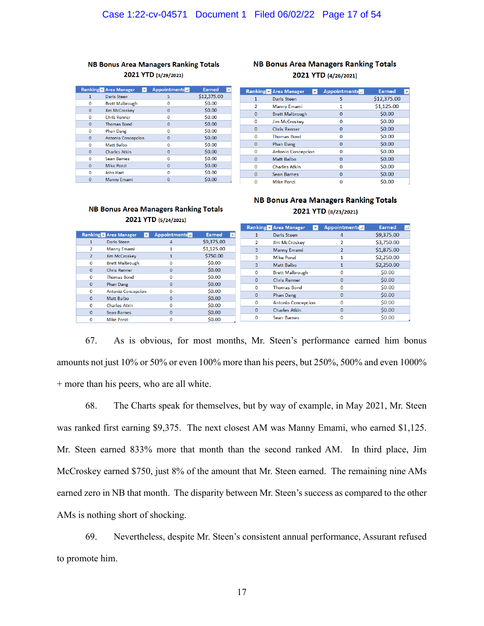#### **NB Bonus Area Managers Ranking Totals** 2021 YTD (3/29/2021)

|                | Ranking - Area Manager    | <b>Appointments</b> | <b>Earned</b> |
|----------------|---------------------------|---------------------|---------------|
| $\mathbf{1}$   | Daris Steen               | 5                   | \$12,375.00   |
| 0              | <b>Brett Malbrough</b>    | 0                   | \$0.00        |
| 0              | <b>Jim McCroskey</b>      | 0                   | \$0.00        |
| $\Omega$       | <b>Chris Renner</b>       | 0                   | \$0.00        |
| $\Omega$       | <b>Thomas Bond</b>        | $\mathbf 0$         | \$0.00        |
| 0              | <b>Phan Dang</b>          | 0                   | \$0.00        |
| $\Omega$       | <b>Antonio Concepcion</b> | $\Omega$            | \$0.00        |
| $\Omega$       | Matt Balbo                | $\Omega$            | \$0.00        |
| $\overline{0}$ | <b>Charles Atkin</b>      | 0                   | \$0.00        |
| $\Omega$       | <b>Sean Barnes</b>        | $\Omega$            | \$0.00        |
| 0              | <b>Mike Ponzi</b>         | $\mathbf 0$         | \$0.00        |
| $\Omega$       | <b>John Hart</b>          | $\Omega$            | \$0.00        |
| $\Omega$       | <b>Manny Emami</b>        | 0                   | \$0.00        |

#### **NB Bonus Area Managers Ranking Totals** 2021 YTD (4/26/2021)

|                | <b>Ranking Area Manager</b> | <b>Appointments</b> | <b>Earned</b><br>$\overline{\phantom{a}}$ |
|----------------|-----------------------------|---------------------|-------------------------------------------|
| 1              | Daris Steen                 | 5                   | \$12,375.00                               |
| $\overline{2}$ | <b>Manny Emami</b>          | 1                   | \$1,125.00                                |
| $\Omega$       | <b>Brett Malbrough</b>      | 0                   | \$0.00                                    |
| $\bf{0}$       | <b>Jim McCroskev</b>        | $\bf{0}$            | \$0.00                                    |
| $\mathbf 0$    | <b>Chris Renner</b>         | $\bf{0}$            | \$0.00                                    |
| 0              | <b>Thomas Bond</b>          | $\bf{0}$            | \$0.00                                    |
| $\bf{0}$       | <b>Phan Dang</b>            | $\mathbf 0$         | \$0.00                                    |
| 0              | <b>Antonio Concepcion</b>   | 0                   | \$0.00                                    |
| o              | Matt Balbo                  | $\mathbf 0$         | \$0.00                                    |
| $\bf{0}$       | <b>Charles Atkin</b>        | $\bf{0}$            | \$0.00                                    |
| $\Omega$       | Sean Barnes                 | $\Omega$            | \$0.00                                    |
| o              | <b>Mike Ponzi</b>           | 0                   | \$0.00                                    |

#### **NB Bonus Area Managers Ranking Totals** 2021 YTD (5/24/2021)

# **NB Bonus Area Managers Ranking Totals** 2021 YTD (8/23/2021)

|               |                                                 |                     |                        |              | <b>Ranking - Area Manager</b> | $\vee$ | <b>Appointments</b> | Earned     | اللوا |
|---------------|-------------------------------------------------|---------------------|------------------------|--------------|-------------------------------|--------|---------------------|------------|-------|
|               | anking Area Manager<br>$\vert \mathbf{v} \vert$ | <b>Appointments</b> | Earned<br>$\mathbf{v}$ | 1            | Daris Steen                   |        | 4                   | \$9,375.00 |       |
|               | Daris Steen                                     |                     | \$9,375.00             |              | Jim McCroskey                 |        |                     | \$3,750.00 |       |
|               | <b>Manny Emami</b>                              |                     | \$1,125.00             | 3            | <b>Manny Emami</b>            |        |                     | \$1,875.00 |       |
| $\mathcal{P}$ | Jim McCroskey                                   |                     | \$750.00               | з            | <b>Mike Ponzi</b>             |        |                     | \$2,250,00 |       |
| $\mathbf 0$   | <b>Brett Malbrough</b>                          | $\Omega$            | \$0.00                 | 3            | Matt Balbo                    |        |                     | \$2,250.00 |       |
| $\Omega$      | <b>Chris Renner</b>                             | $\Omega$            | \$0.00                 | $\Omega$     | <b>Brett Malbrough</b>        |        |                     | \$0.00     |       |
| $\Omega$      | <b>Thomas Bond</b>                              |                     | \$0.00                 | $\mathbf{0}$ | <b>Chris Renner</b>           |        | $\mathbf{0}$        | \$0.00     |       |
| $\mathbf{0}$  | Phan Dang                                       | 0                   | \$0.00                 | $\Omega$     | <b>Thomas Bond</b>            |        |                     | \$0.00     |       |
| $\mathbf{0}$  | <b>Antonio Concepcion</b>                       | $\Omega$            | \$0.00                 |              |                               |        |                     |            |       |
| $\mathbf{0}$  | Matt Balbo                                      |                     | \$0.00                 | $\mathbf{0}$ | Phan Dang                     |        |                     | \$0.00     |       |
| $\mathbf 0$   | <b>Charles Atkin</b>                            | $\Omega$            | \$0.00                 | $\Omega$     | <b>Antonio Concepcion</b>     |        |                     | \$0.00     |       |
| $\Omega$      | Sean Barnes                                     | $\Omega$            | \$0.00                 | $\mathbf{0}$ | <b>Charles Atkin</b>          |        | 0                   | \$0.00     |       |
| $\bf{0}$      | <b>Mike Ponzi</b>                               |                     | \$0.00                 | $\bf{0}$     | <b>Sean Barnes</b>            |        |                     | \$0.00     |       |
|               |                                                 |                     |                        |              |                               |        |                     |            |       |

67. As is obvious, for most months, Mr. Steen's performance earned him bonus amounts not just 10% or 50% or even 100% more than his peers, but 250%, 500% and even 1000% + more than his peers, who are all white.

68. The Charts speak for themselves, but by way of example, in May 2021, Mr. Steen was ranked first earning \$9,375. The next closest AM was Manny Emami, who earned \$1,125. Mr. Steen earned 833% more that month than the second ranked AM. In third place, Jim McCroskey earned \$750, just 8% of the amount that Mr. Steen earned. The remaining nine AMs earned zero in NB that month. The disparity between Mr. Steen's success as compared to the other AMs is nothing short of shocking.

69. Nevertheless, despite Mr. Steen's consistent annual performance, Assurant refused to promote him.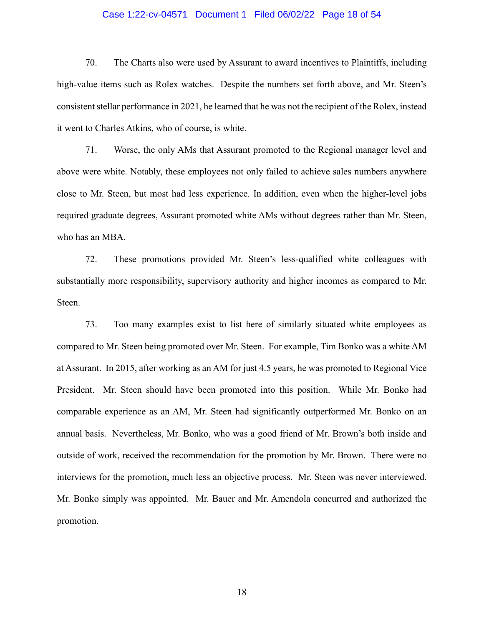#### Case 1:22-cv-04571 Document 1 Filed 06/02/22 Page 18 of 54

70. The Charts also were used by Assurant to award incentives to Plaintiffs, including high-value items such as Rolex watches. Despite the numbers set forth above, and Mr. Steen's consistent stellar performance in 2021, he learned that he was not the recipient of the Rolex, instead it went to Charles Atkins, who of course, is white.

71. Worse, the only AMs that Assurant promoted to the Regional manager level and above were white. Notably, these employees not only failed to achieve sales numbers anywhere close to Mr. Steen, but most had less experience. In addition, even when the higher-level jobs required graduate degrees, Assurant promoted white AMs without degrees rather than Mr. Steen, who has an MBA.

72. These promotions provided Mr. Steen's less-qualified white colleagues with substantially more responsibility, supervisory authority and higher incomes as compared to Mr. Steen.

73. Too many examples exist to list here of similarly situated white employees as compared to Mr. Steen being promoted over Mr. Steen. For example, Tim Bonko was a white AM at Assurant. In 2015, after working as an AM for just 4.5 years, he was promoted to Regional Vice President. Mr. Steen should have been promoted into this position. While Mr. Bonko had comparable experience as an AM, Mr. Steen had significantly outperformed Mr. Bonko on an annual basis. Nevertheless, Mr. Bonko, who was a good friend of Mr. Brown's both inside and outside of work, received the recommendation for the promotion by Mr. Brown. There were no interviews for the promotion, much less an objective process. Mr. Steen was never interviewed. Mr. Bonko simply was appointed. Mr. Bauer and Mr. Amendola concurred and authorized the promotion.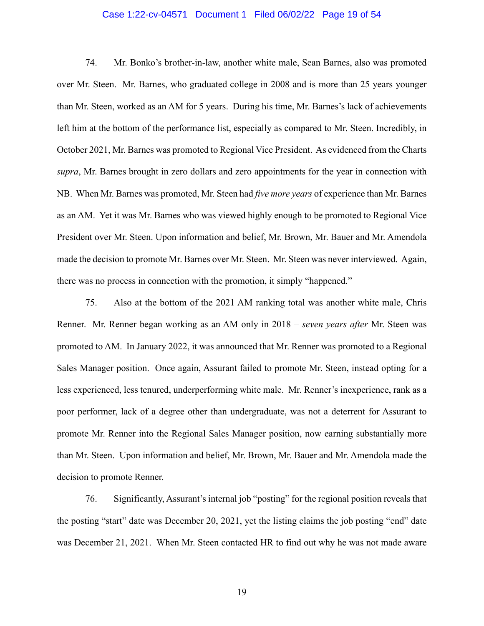#### Case 1:22-cv-04571 Document 1 Filed 06/02/22 Page 19 of 54

74. Mr. Bonko's brother-in-law, another white male, Sean Barnes, also was promoted over Mr. Steen. Mr. Barnes, who graduated college in 2008 and is more than 25 years younger than Mr. Steen, worked as an AM for 5 years. During his time, Mr. Barnes's lack of achievements left him at the bottom of the performance list, especially as compared to Mr. Steen. Incredibly, in October 2021, Mr. Barnes was promoted to Regional Vice President. As evidenced from the Charts *supra*, Mr. Barnes brought in zero dollars and zero appointments for the year in connection with NB. When Mr. Barnes was promoted, Mr. Steen had *five more years* of experience than Mr. Barnes as an AM. Yet it was Mr. Barnes who was viewed highly enough to be promoted to Regional Vice President over Mr. Steen. Upon information and belief, Mr. Brown, Mr. Bauer and Mr. Amendola made the decision to promote Mr. Barnes over Mr. Steen. Mr. Steen was never interviewed. Again, there was no process in connection with the promotion, it simply "happened."

75. Also at the bottom of the 2021 AM ranking total was another white male, Chris Renner. Mr. Renner began working as an AM only in 2018 – *seven years after* Mr. Steen was promoted to AM. In January 2022, it was announced that Mr. Renner was promoted to a Regional Sales Manager position. Once again, Assurant failed to promote Mr. Steen, instead opting for a less experienced, less tenured, underperforming white male. Mr. Renner's inexperience, rank as a poor performer, lack of a degree other than undergraduate, was not a deterrent for Assurant to promote Mr. Renner into the Regional Sales Manager position, now earning substantially more than Mr. Steen. Upon information and belief, Mr. Brown, Mr. Bauer and Mr. Amendola made the decision to promote Renner.

76. Significantly, Assurant's internal job "posting" for the regional position reveals that the posting "start" date was December 20, 2021, yet the listing claims the job posting "end" date was December 21, 2021. When Mr. Steen contacted HR to find out why he was not made aware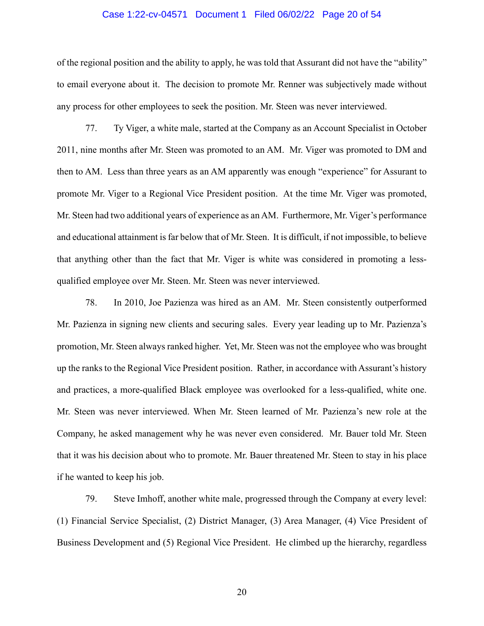#### Case 1:22-cv-04571 Document 1 Filed 06/02/22 Page 20 of 54

of the regional position and the ability to apply, he was told that Assurant did not have the "ability" to email everyone about it. The decision to promote Mr. Renner was subjectively made without any process for other employees to seek the position. Mr. Steen was never interviewed.

77. Ty Viger, a white male, started at the Company as an Account Specialist in October 2011, nine months after Mr. Steen was promoted to an AM. Mr. Viger was promoted to DM and then to AM. Less than three years as an AM apparently was enough "experience" for Assurant to promote Mr. Viger to a Regional Vice President position. At the time Mr. Viger was promoted, Mr. Steen had two additional years of experience as an AM. Furthermore, Mr. Viger's performance and educational attainment is far below that of Mr. Steen. It is difficult, if not impossible, to believe that anything other than the fact that Mr. Viger is white was considered in promoting a lessqualified employee over Mr. Steen. Mr. Steen was never interviewed.

78. In 2010, Joe Pazienza was hired as an AM. Mr. Steen consistently outperformed Mr. Pazienza in signing new clients and securing sales. Every year leading up to Mr. Pazienza's promotion, Mr. Steen always ranked higher. Yet, Mr. Steen was not the employee who was brought up the ranks to the Regional Vice President position. Rather, in accordance with Assurant's history and practices, a more-qualified Black employee was overlooked for a less-qualified, white one. Mr. Steen was never interviewed. When Mr. Steen learned of Mr. Pazienza's new role at the Company, he asked management why he was never even considered. Mr. Bauer told Mr. Steen that it was his decision about who to promote. Mr. Bauer threatened Mr. Steen to stay in his place if he wanted to keep his job.

79. Steve Imhoff, another white male, progressed through the Company at every level: (1) Financial Service Specialist, (2) District Manager, (3) Area Manager, (4) Vice President of Business Development and (5) Regional Vice President. He climbed up the hierarchy, regardless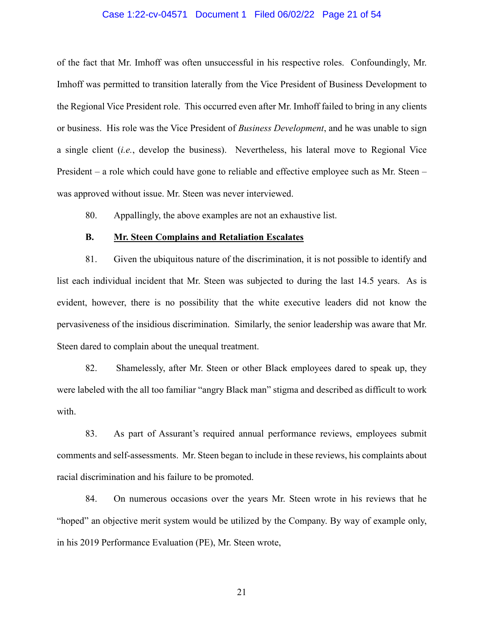#### Case 1:22-cv-04571 Document 1 Filed 06/02/22 Page 21 of 54

of the fact that Mr. Imhoff was often unsuccessful in his respective roles. Confoundingly, Mr. Imhoff was permitted to transition laterally from the Vice President of Business Development to the Regional Vice President role. This occurred even after Mr. Imhoff failed to bring in any clients or business. His role was the Vice President of *Business Development*, and he was unable to sign a single client (*i.e.*, develop the business). Nevertheless, his lateral move to Regional Vice President – a role which could have gone to reliable and effective employee such as Mr. Steen – was approved without issue. Mr. Steen was never interviewed.

80. Appallingly, the above examples are not an exhaustive list.

#### **B. Mr. Steen Complains and Retaliation Escalates**

81. Given the ubiquitous nature of the discrimination, it is not possible to identify and list each individual incident that Mr. Steen was subjected to during the last 14.5 years. As is evident, however, there is no possibility that the white executive leaders did not know the pervasiveness of the insidious discrimination. Similarly, the senior leadership was aware that Mr. Steen dared to complain about the unequal treatment.

82. Shamelessly, after Mr. Steen or other Black employees dared to speak up, they were labeled with the all too familiar "angry Black man" stigma and described as difficult to work with.

83. As part of Assurant's required annual performance reviews, employees submit comments and self-assessments. Mr. Steen began to include in these reviews, his complaints about racial discrimination and his failure to be promoted.

84. On numerous occasions over the years Mr. Steen wrote in his reviews that he "hoped" an objective merit system would be utilized by the Company. By way of example only, in his 2019 Performance Evaluation (PE), Mr. Steen wrote,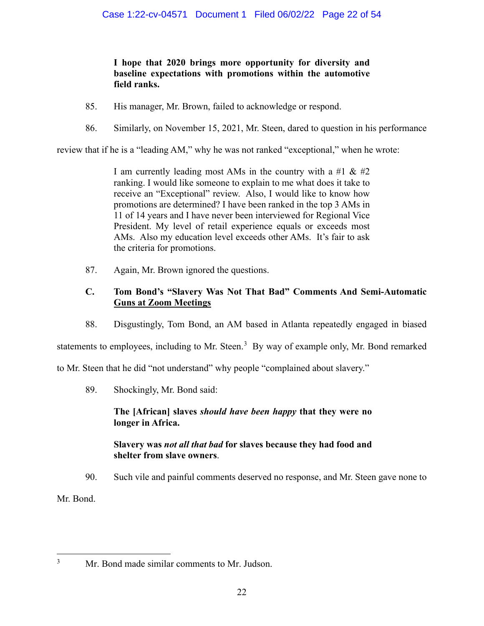# **I hope that 2020 brings more opportunity for diversity and baseline expectations with promotions within the automotive field ranks.**

- 85. His manager, Mr. Brown, failed to acknowledge or respond.
- 86. Similarly, on November 15, 2021, Mr. Steen, dared to question in his performance

review that if he is a "leading AM," why he was not ranked "exceptional," when he wrote:

I am currently leading most AMs in the country with a #1  $\&$  #2 ranking. I would like someone to explain to me what does it take to receive an "Exceptional" review. Also, I would like to know how promotions are determined? I have been ranked in the top 3 AMs in 11 of 14 years and I have never been interviewed for Regional Vice President. My level of retail experience equals or exceeds most AMs. Also my education level exceeds other AMs. It's fair to ask the criteria for promotions.

87. Again, Mr. Brown ignored the questions.

# **C. Tom Bond's "Slavery Was Not That Bad" Comments And Semi-Automatic Guns at Zoom Meetings**

88. Disgustingly, Tom Bond, an AM based in Atlanta repeatedly engaged in biased

statements to employees, including to Mr. Steen.<sup>3</sup> By way of example only, Mr. Bond remarked

to Mr. Steen that he did "not understand" why people "complained about slavery."

89. Shockingly, Mr. Bond said:

# **The [African] slaves** *should have been happy* **that they were no longer in Africa.**

# **Slavery was** *not all that bad* **for slaves because they had food and shelter from slave owners**.

90. Such vile and painful comments deserved no response, and Mr. Steen gave none to

Mr. Bond.

Mr. Bond made similar comments to Mr. Judson.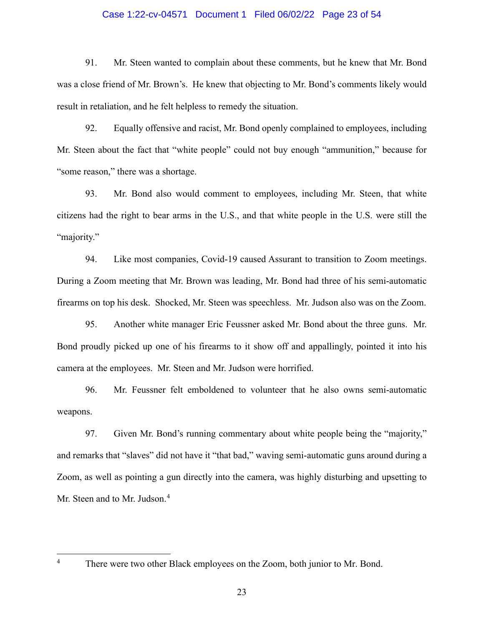#### Case 1:22-cv-04571 Document 1 Filed 06/02/22 Page 23 of 54

91. Mr. Steen wanted to complain about these comments, but he knew that Mr. Bond was a close friend of Mr. Brown's. He knew that objecting to Mr. Bond's comments likely would result in retaliation, and he felt helpless to remedy the situation.

92. Equally offensive and racist, Mr. Bond openly complained to employees, including Mr. Steen about the fact that "white people" could not buy enough "ammunition," because for "some reason," there was a shortage.

93. Mr. Bond also would comment to employees, including Mr. Steen, that white citizens had the right to bear arms in the U.S., and that white people in the U.S. were still the "majority."

94. Like most companies, Covid-19 caused Assurant to transition to Zoom meetings. During a Zoom meeting that Mr. Brown was leading, Mr. Bond had three of his semi-automatic firearms on top his desk. Shocked, Mr. Steen was speechless. Mr. Judson also was on the Zoom.

95. Another white manager Eric Feussner asked Mr. Bond about the three guns. Mr. Bond proudly picked up one of his firearms to it show off and appallingly, pointed it into his camera at the employees. Mr. Steen and Mr. Judson were horrified.

96. Mr. Feussner felt emboldened to volunteer that he also owns semi-automatic weapons.

97. Given Mr. Bond's running commentary about white people being the "majority," and remarks that "slaves" did not have it "that bad," waving semi-automatic guns around during a Zoom, as well as pointing a gun directly into the camera, was highly disturbing and upsetting to Mr. Steen and to Mr. Judson. 4

<sup>&</sup>lt;sup>4</sup> There were two other Black employees on the Zoom, both junior to Mr. Bond.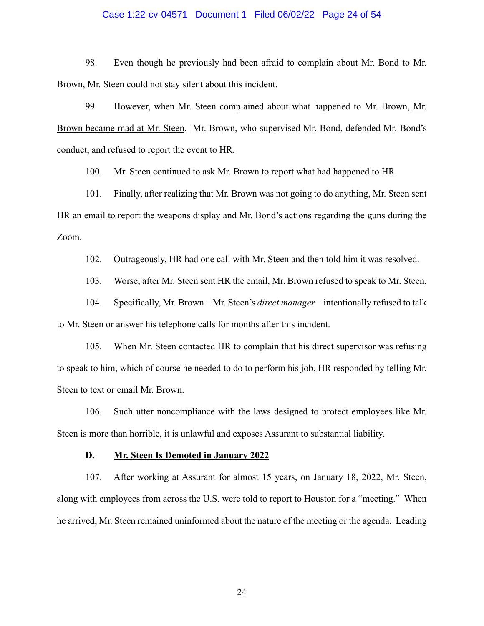#### Case 1:22-cv-04571 Document 1 Filed 06/02/22 Page 24 of 54

98. Even though he previously had been afraid to complain about Mr. Bond to Mr. Brown, Mr. Steen could not stay silent about this incident.

99. However, when Mr. Steen complained about what happened to Mr. Brown, Mr. Brown became mad at Mr. Steen. Mr. Brown, who supervised Mr. Bond, defended Mr. Bond's conduct, and refused to report the event to HR.

100. Mr. Steen continued to ask Mr. Brown to report what had happened to HR.

101. Finally, after realizing that Mr. Brown was not going to do anything, Mr. Steen sent HR an email to report the weapons display and Mr. Bond's actions regarding the guns during the Zoom.

102. Outrageously, HR had one call with Mr. Steen and then told him it was resolved.

103. Worse, after Mr. Steen sent HR the email, Mr. Brown refused to speak to Mr. Steen.

104. Specifically, Mr. Brown – Mr. Steen's *direct manager* – intentionally refused to talk to Mr. Steen or answer his telephone calls for months after this incident.

105. When Mr. Steen contacted HR to complain that his direct supervisor was refusing to speak to him, which of course he needed to do to perform his job, HR responded by telling Mr. Steen to text or email Mr. Brown.

106. Such utter noncompliance with the laws designed to protect employees like Mr. Steen is more than horrible, it is unlawful and exposes Assurant to substantial liability.

#### **D. Mr. Steen Is Demoted in January 2022**

107. After working at Assurant for almost 15 years, on January 18, 2022, Mr. Steen, along with employees from across the U.S. were told to report to Houston for a "meeting." When he arrived, Mr. Steen remained uninformed about the nature of the meeting or the agenda. Leading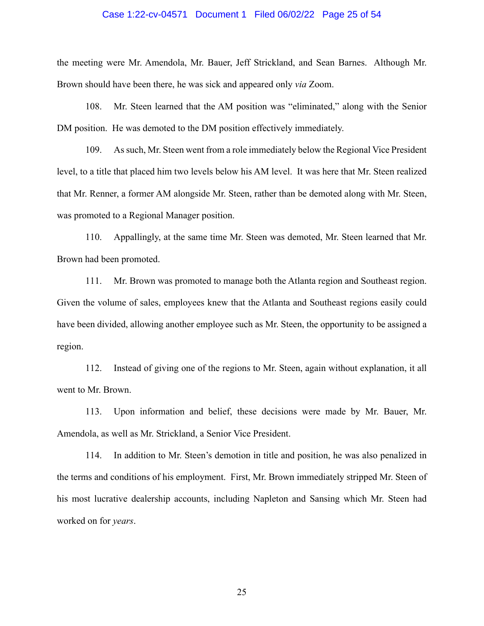#### Case 1:22-cv-04571 Document 1 Filed 06/02/22 Page 25 of 54

the meeting were Mr. Amendola, Mr. Bauer, Jeff Strickland, and Sean Barnes. Although Mr. Brown should have been there, he was sick and appeared only *via* Zoom.

108. Mr. Steen learned that the AM position was "eliminated," along with the Senior DM position. He was demoted to the DM position effectively immediately.

109. As such, Mr. Steen went from a role immediately below the Regional Vice President level, to a title that placed him two levels below his AM level. It was here that Mr. Steen realized that Mr. Renner, a former AM alongside Mr. Steen, rather than be demoted along with Mr. Steen, was promoted to a Regional Manager position.

110. Appallingly, at the same time Mr. Steen was demoted, Mr. Steen learned that Mr. Brown had been promoted.

111. Mr. Brown was promoted to manage both the Atlanta region and Southeast region. Given the volume of sales, employees knew that the Atlanta and Southeast regions easily could have been divided, allowing another employee such as Mr. Steen, the opportunity to be assigned a region.

112. Instead of giving one of the regions to Mr. Steen, again without explanation, it all went to Mr. Brown.

113. Upon information and belief, these decisions were made by Mr. Bauer, Mr. Amendola, as well as Mr. Strickland, a Senior Vice President.

114. In addition to Mr. Steen's demotion in title and position, he was also penalized in the terms and conditions of his employment. First, Mr. Brown immediately stripped Mr. Steen of his most lucrative dealership accounts, including Napleton and Sansing which Mr. Steen had worked on for *years*.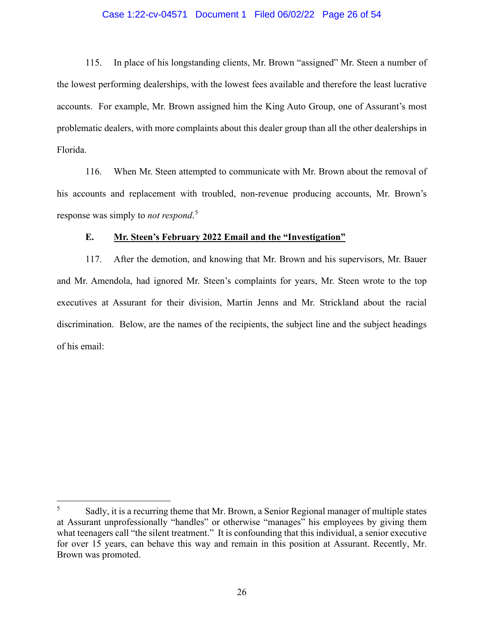#### Case 1:22-cv-04571 Document 1 Filed 06/02/22 Page 26 of 54

115. In place of his longstanding clients, Mr. Brown "assigned" Mr. Steen a number of the lowest performing dealerships, with the lowest fees available and therefore the least lucrative accounts. For example, Mr. Brown assigned him the King Auto Group, one of Assurant's most problematic dealers, with more complaints about this dealer group than all the other dealerships in Florida.

116. When Mr. Steen attempted to communicate with Mr. Brown about the removal of his accounts and replacement with troubled, non-revenue producing accounts, Mr. Brown's response was simply to *not respond*. 5

#### **E. Mr. Steen's February 2022 Email and the "Investigation"**

117. After the demotion, and knowing that Mr. Brown and his supervisors, Mr. Bauer and Mr. Amendola, had ignored Mr. Steen's complaints for years, Mr. Steen wrote to the top executives at Assurant for their division, Martin Jenns and Mr. Strickland about the racial discrimination. Below, are the names of the recipients, the subject line and the subject headings of his email:

<sup>5</sup> Sadly, it is a recurring theme that Mr. Brown, a Senior Regional manager of multiple states at Assurant unprofessionally "handles" or otherwise "manages" his employees by giving them what teenagers call "the silent treatment." It is confounding that this individual, a senior executive for over 15 years, can behave this way and remain in this position at Assurant. Recently, Mr. Brown was promoted.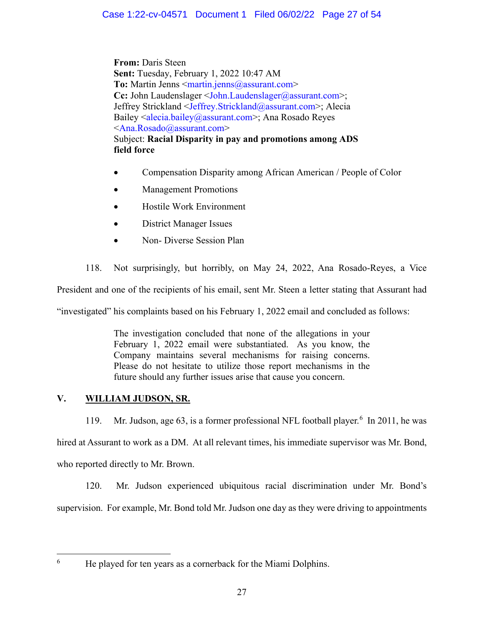**From:** Daris Steen **Sent:** Tuesday, February 1, 2022 10:47 AM **To:** Martin Jenns <martin.jenns@assurant.com> **Cc:** John Laudenslager <John.Laudenslager@assurant.com>; Jeffrey Strickland <Jeffrey.Strickland@assurant.com>; Alecia Bailey <alecia.bailey@assurant.com>; Ana Rosado Reyes <Ana.Rosado@assurant.com> Subject: **Racial Disparity in pay and promotions among ADS field force**

- Compensation Disparity among African American / People of Color
- Management Promotions
- Hostile Work Environment
- District Manager Issues
- Non‐ Diverse Session Plan

118. Not surprisingly, but horribly, on May 24, 2022, Ana Rosado-Reyes, a Vice

President and one of the recipients of his email, sent Mr. Steen a letter stating that Assurant had

"investigated" his complaints based on his February 1, 2022 email and concluded as follows:

The investigation concluded that none of the allegations in your February 1, 2022 email were substantiated. As you know, the Company maintains several mechanisms for raising concerns. Please do not hesitate to utilize those report mechanisms in the future should any further issues arise that cause you concern.

# **V. WILLIAM JUDSON, SR.**

119. Mr. Judson, age 63, is a former professional NFL football player. 6 In 2011, he was hired at Assurant to work as a DM. At all relevant times, his immediate supervisor was Mr. Bond, who reported directly to Mr. Brown.

120. Mr. Judson experienced ubiquitous racial discrimination under Mr. Bond's supervision. For example, Mr. Bond told Mr. Judson one day as they were driving to appointments

He played for ten years as a cornerback for the Miami Dolphins.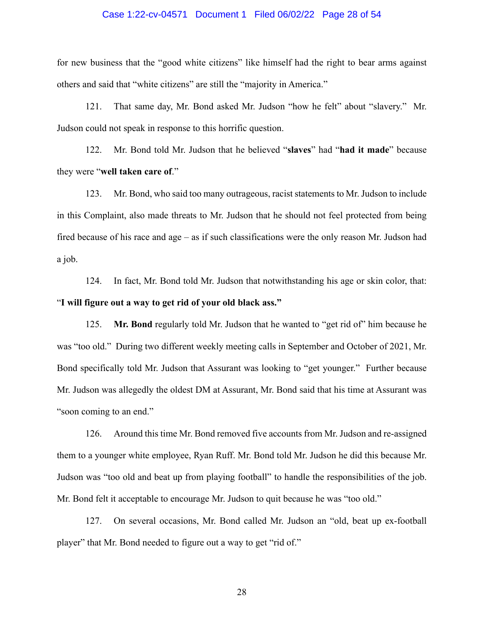#### Case 1:22-cv-04571 Document 1 Filed 06/02/22 Page 28 of 54

for new business that the "good white citizens" like himself had the right to bear arms against others and said that "white citizens" are still the "majority in America."

121. That same day, Mr. Bond asked Mr. Judson "how he felt" about "slavery." Mr. Judson could not speak in response to this horrific question.

122. Mr. Bond told Mr. Judson that he believed "**slaves**" had "**had it made**" because they were "**well taken care of**."

123. Mr. Bond, who said too many outrageous, racist statements to Mr. Judson to include in this Complaint, also made threats to Mr. Judson that he should not feel protected from being fired because of his race and age – as if such classifications were the only reason Mr. Judson had a job.

124. In fact, Mr. Bond told Mr. Judson that notwithstanding his age or skin color, that: "**I will figure out a way to get rid of your old black ass."**

125. **Mr. Bond** regularly told Mr. Judson that he wanted to "get rid of" him because he was "too old." During two different weekly meeting calls in September and October of 2021, Mr. Bond specifically told Mr. Judson that Assurant was looking to "get younger." Further because Mr. Judson was allegedly the oldest DM at Assurant, Mr. Bond said that his time at Assurant was "soon coming to an end."

126. Around this time Mr. Bond removed five accounts from Mr. Judson and re-assigned them to a younger white employee, Ryan Ruff. Mr. Bond told Mr. Judson he did this because Mr. Judson was "too old and beat up from playing football" to handle the responsibilities of the job. Mr. Bond felt it acceptable to encourage Mr. Judson to quit because he was "too old."

127. On several occasions, Mr. Bond called Mr. Judson an "old, beat up ex-football player" that Mr. Bond needed to figure out a way to get "rid of."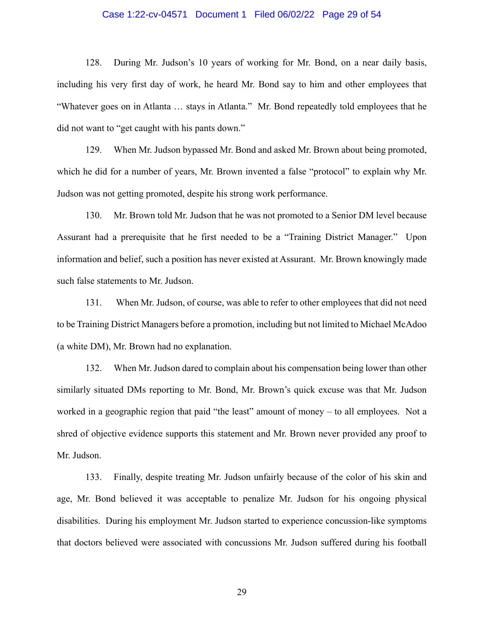#### Case 1:22-cv-04571 Document 1 Filed 06/02/22 Page 29 of 54

128. During Mr. Judson's 10 years of working for Mr. Bond, on a near daily basis, including his very first day of work, he heard Mr. Bond say to him and other employees that "Whatever goes on in Atlanta … stays in Atlanta." Mr. Bond repeatedly told employees that he did not want to "get caught with his pants down."

129. When Mr. Judson bypassed Mr. Bond and asked Mr. Brown about being promoted, which he did for a number of years, Mr. Brown invented a false "protocol" to explain why Mr. Judson was not getting promoted, despite his strong work performance.

130. Mr. Brown told Mr. Judson that he was not promoted to a Senior DM level because Assurant had a prerequisite that he first needed to be a "Training District Manager." Upon information and belief, such a position has never existed at Assurant. Mr. Brown knowingly made such false statements to Mr. Judson.

131. When Mr. Judson, of course, was able to refer to other employees that did not need to be Training District Managers before a promotion, including but not limited to Michael McAdoo (a white DM), Mr. Brown had no explanation.

132. When Mr. Judson dared to complain about his compensation being lower than other similarly situated DMs reporting to Mr. Bond, Mr. Brown's quick excuse was that Mr. Judson worked in a geographic region that paid "the least" amount of money – to all employees. Not a shred of objective evidence supports this statement and Mr. Brown never provided any proof to Mr. Judson.

133. Finally, despite treating Mr. Judson unfairly because of the color of his skin and age, Mr. Bond believed it was acceptable to penalize Mr. Judson for his ongoing physical disabilities. During his employment Mr. Judson started to experience concussion-like symptoms that doctors believed were associated with concussions Mr. Judson suffered during his football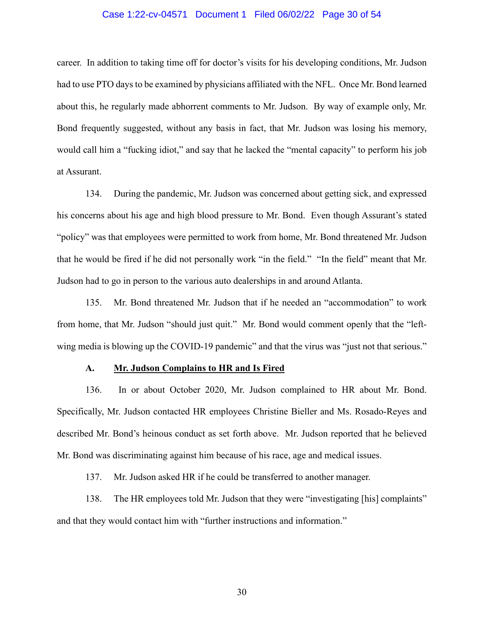#### Case 1:22-cv-04571 Document 1 Filed 06/02/22 Page 30 of 54

career. In addition to taking time off for doctor's visits for his developing conditions, Mr. Judson had to use PTO days to be examined by physicians affiliated with the NFL. Once Mr. Bond learned about this, he regularly made abhorrent comments to Mr. Judson. By way of example only, Mr. Bond frequently suggested, without any basis in fact, that Mr. Judson was losing his memory, would call him a "fucking idiot," and say that he lacked the "mental capacity" to perform his job at Assurant.

134. During the pandemic, Mr. Judson was concerned about getting sick, and expressed his concerns about his age and high blood pressure to Mr. Bond. Even though Assurant's stated "policy" was that employees were permitted to work from home, Mr. Bond threatened Mr. Judson that he would be fired if he did not personally work "in the field." "In the field" meant that Mr. Judson had to go in person to the various auto dealerships in and around Atlanta.

135. Mr. Bond threatened Mr. Judson that if he needed an "accommodation" to work from home, that Mr. Judson "should just quit." Mr. Bond would comment openly that the "leftwing media is blowing up the COVID-19 pandemic" and that the virus was "just not that serious."

### **A. Mr. Judson Complains to HR and Is Fired**

136. In or about October 2020, Mr. Judson complained to HR about Mr. Bond. Specifically, Mr. Judson contacted HR employees Christine Bieller and Ms. Rosado-Reyes and described Mr. Bond's heinous conduct as set forth above. Mr. Judson reported that he believed Mr. Bond was discriminating against him because of his race, age and medical issues.

137. Mr. Judson asked HR if he could be transferred to another manager.

138. The HR employees told Mr. Judson that they were "investigating [his] complaints" and that they would contact him with "further instructions and information."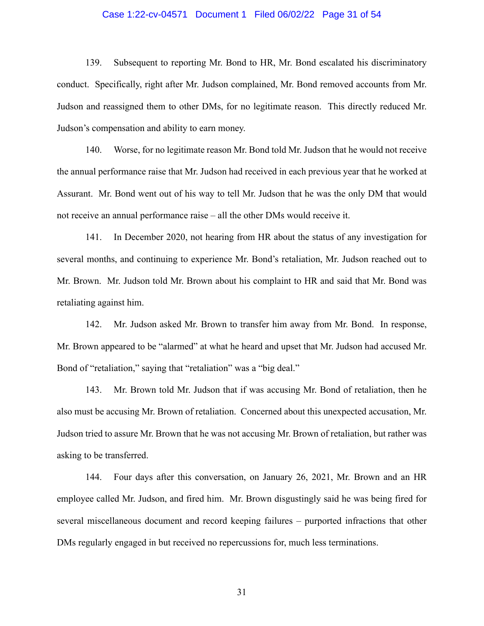#### Case 1:22-cv-04571 Document 1 Filed 06/02/22 Page 31 of 54

139. Subsequent to reporting Mr. Bond to HR, Mr. Bond escalated his discriminatory conduct. Specifically, right after Mr. Judson complained, Mr. Bond removed accounts from Mr. Judson and reassigned them to other DMs, for no legitimate reason. This directly reduced Mr. Judson's compensation and ability to earn money.

140. Worse, for no legitimate reason Mr. Bond told Mr. Judson that he would not receive the annual performance raise that Mr. Judson had received in each previous year that he worked at Assurant. Mr. Bond went out of his way to tell Mr. Judson that he was the only DM that would not receive an annual performance raise – all the other DMs would receive it.

141. In December 2020, not hearing from HR about the status of any investigation for several months, and continuing to experience Mr. Bond's retaliation, Mr. Judson reached out to Mr. Brown. Mr. Judson told Mr. Brown about his complaint to HR and said that Mr. Bond was retaliating against him.

142. Mr. Judson asked Mr. Brown to transfer him away from Mr. Bond. In response, Mr. Brown appeared to be "alarmed" at what he heard and upset that Mr. Judson had accused Mr. Bond of "retaliation," saying that "retaliation" was a "big deal."

143. Mr. Brown told Mr. Judson that if was accusing Mr. Bond of retaliation, then he also must be accusing Mr. Brown of retaliation. Concerned about this unexpected accusation, Mr. Judson tried to assure Mr. Brown that he was not accusing Mr. Brown of retaliation, but rather was asking to be transferred.

144. Four days after this conversation, on January 26, 2021, Mr. Brown and an HR employee called Mr. Judson, and fired him. Mr. Brown disgustingly said he was being fired for several miscellaneous document and record keeping failures – purported infractions that other DMs regularly engaged in but received no repercussions for, much less terminations.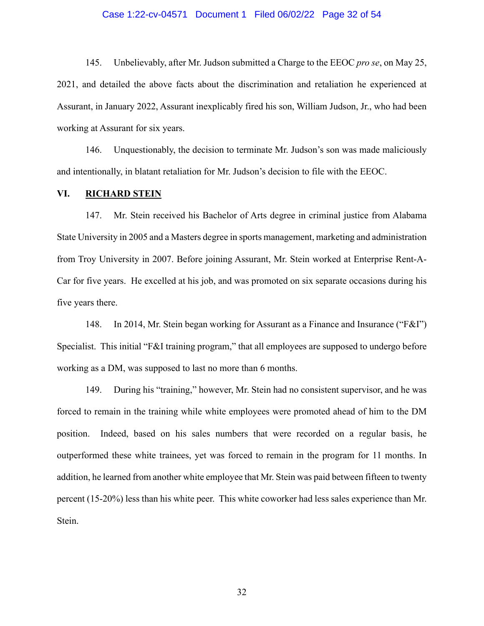#### Case 1:22-cv-04571 Document 1 Filed 06/02/22 Page 32 of 54

145. Unbelievably, after Mr. Judson submitted a Charge to the EEOC *pro se*, on May 25, 2021, and detailed the above facts about the discrimination and retaliation he experienced at Assurant, in January 2022, Assurant inexplicably fired his son, William Judson, Jr., who had been working at Assurant for six years.

146. Unquestionably, the decision to terminate Mr. Judson's son was made maliciously and intentionally, in blatant retaliation for Mr. Judson's decision to file with the EEOC.

### **VI. RICHARD STEIN**

147. Mr. Stein received his Bachelor of Arts degree in criminal justice from Alabama State University in 2005 and a Masters degree in sports management, marketing and administration from Troy University in 2007. Before joining Assurant, Mr. Stein worked at Enterprise Rent-A-Car for five years. He excelled at his job, and was promoted on six separate occasions during his five years there.

148. In 2014, Mr. Stein began working for Assurant as a Finance and Insurance ("F&I") Specialist. This initial "F&I training program," that all employees are supposed to undergo before working as a DM, was supposed to last no more than 6 months.

149. During his "training," however, Mr. Stein had no consistent supervisor, and he was forced to remain in the training while white employees were promoted ahead of him to the DM position. Indeed, based on his sales numbers that were recorded on a regular basis, he outperformed these white trainees, yet was forced to remain in the program for 11 months. In addition, he learned from another white employee that Mr. Stein was paid between fifteen to twenty percent (15-20%) less than his white peer. This white coworker had less sales experience than Mr. Stein.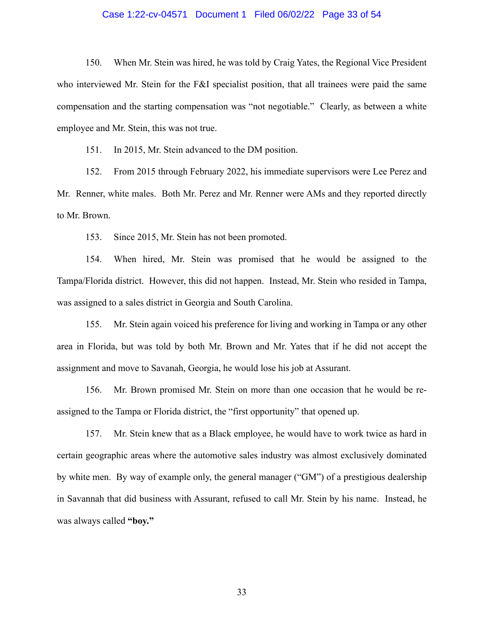#### Case 1:22-cv-04571 Document 1 Filed 06/02/22 Page 33 of 54

150. When Mr. Stein was hired, he was told by Craig Yates, the Regional Vice President who interviewed Mr. Stein for the F&I specialist position, that all trainees were paid the same compensation and the starting compensation was "not negotiable." Clearly, as between a white employee and Mr. Stein, this was not true.

151. In 2015, Mr. Stein advanced to the DM position.

152. From 2015 through February 2022, his immediate supervisors were Lee Perez and Mr. Renner, white males. Both Mr. Perez and Mr. Renner were AMs and they reported directly to Mr. Brown.

153. Since 2015, Mr. Stein has not been promoted.

154. When hired, Mr. Stein was promised that he would be assigned to the Tampa/Florida district. However, this did not happen. Instead, Mr. Stein who resided in Tampa, was assigned to a sales district in Georgia and South Carolina.

155. Mr. Stein again voiced his preference for living and working in Tampa or any other area in Florida, but was told by both Mr. Brown and Mr. Yates that if he did not accept the assignment and move to Savanah, Georgia, he would lose his job at Assurant.

156. Mr. Brown promised Mr. Stein on more than one occasion that he would be reassigned to the Tampa or Florida district, the "first opportunity" that opened up.

157. Mr. Stein knew that as a Black employee, he would have to work twice as hard in certain geographic areas where the automotive sales industry was almost exclusively dominated by white men. By way of example only, the general manager ("GM") of a prestigious dealership in Savannah that did business with Assurant, refused to call Mr. Stein by his name. Instead, he was always called **"boy."**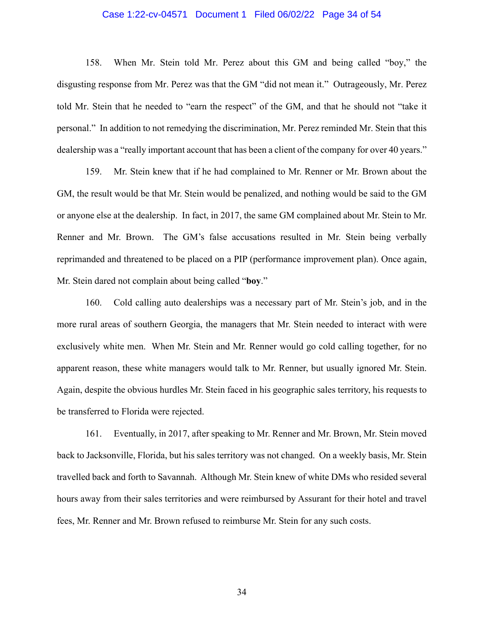#### Case 1:22-cv-04571 Document 1 Filed 06/02/22 Page 34 of 54

158. When Mr. Stein told Mr. Perez about this GM and being called "boy," the disgusting response from Mr. Perez was that the GM "did not mean it." Outrageously, Mr. Perez told Mr. Stein that he needed to "earn the respect" of the GM, and that he should not "take it personal." In addition to not remedying the discrimination, Mr. Perez reminded Mr. Stein that this dealership was a "really important account that has been a client of the company for over 40 years."

159. Mr. Stein knew that if he had complained to Mr. Renner or Mr. Brown about the GM, the result would be that Mr. Stein would be penalized, and nothing would be said to the GM or anyone else at the dealership. In fact, in 2017, the same GM complained about Mr. Stein to Mr. Renner and Mr. Brown. The GM's false accusations resulted in Mr. Stein being verbally reprimanded and threatened to be placed on a PIP (performance improvement plan). Once again, Mr. Stein dared not complain about being called "**boy**."

160. Cold calling auto dealerships was a necessary part of Mr. Stein's job, and in the more rural areas of southern Georgia, the managers that Mr. Stein needed to interact with were exclusively white men. When Mr. Stein and Mr. Renner would go cold calling together, for no apparent reason, these white managers would talk to Mr. Renner, but usually ignored Mr. Stein. Again, despite the obvious hurdles Mr. Stein faced in his geographic sales territory, his requests to be transferred to Florida were rejected.

161. Eventually, in 2017, after speaking to Mr. Renner and Mr. Brown, Mr. Stein moved back to Jacksonville, Florida, but his sales territory was not changed. On a weekly basis, Mr. Stein travelled back and forth to Savannah. Although Mr. Stein knew of white DMs who resided several hours away from their sales territories and were reimbursed by Assurant for their hotel and travel fees, Mr. Renner and Mr. Brown refused to reimburse Mr. Stein for any such costs.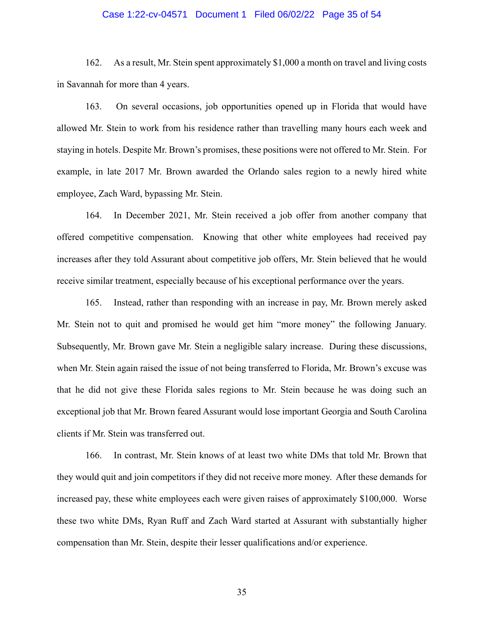#### Case 1:22-cv-04571 Document 1 Filed 06/02/22 Page 35 of 54

162. As a result, Mr. Stein spent approximately \$1,000 a month on travel and living costs in Savannah for more than 4 years.

163. On several occasions, job opportunities opened up in Florida that would have allowed Mr. Stein to work from his residence rather than travelling many hours each week and staying in hotels. Despite Mr. Brown's promises, these positions were not offered to Mr. Stein. For example, in late 2017 Mr. Brown awarded the Orlando sales region to a newly hired white employee, Zach Ward, bypassing Mr. Stein.

164. In December 2021, Mr. Stein received a job offer from another company that offered competitive compensation. Knowing that other white employees had received pay increases after they told Assurant about competitive job offers, Mr. Stein believed that he would receive similar treatment, especially because of his exceptional performance over the years.

165. Instead, rather than responding with an increase in pay, Mr. Brown merely asked Mr. Stein not to quit and promised he would get him "more money" the following January. Subsequently, Mr. Brown gave Mr. Stein a negligible salary increase. During these discussions, when Mr. Stein again raised the issue of not being transferred to Florida, Mr. Brown's excuse was that he did not give these Florida sales regions to Mr. Stein because he was doing such an exceptional job that Mr. Brown feared Assurant would lose important Georgia and South Carolina clients if Mr. Stein was transferred out.

166. In contrast, Mr. Stein knows of at least two white DMs that told Mr. Brown that they would quit and join competitors if they did not receive more money. After these demands for increased pay, these white employees each were given raises of approximately \$100,000. Worse these two white DMs, Ryan Ruff and Zach Ward started at Assurant with substantially higher compensation than Mr. Stein, despite their lesser qualifications and/or experience.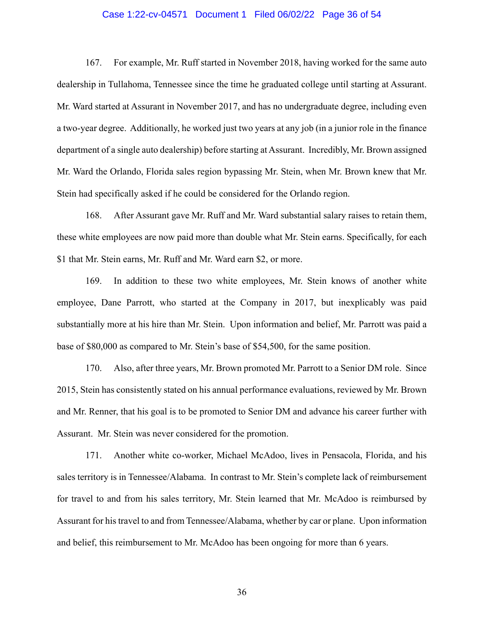#### Case 1:22-cv-04571 Document 1 Filed 06/02/22 Page 36 of 54

167. For example, Mr. Ruff started in November 2018, having worked for the same auto dealership in Tullahoma, Tennessee since the time he graduated college until starting at Assurant. Mr. Ward started at Assurant in November 2017, and has no undergraduate degree, including even a two-year degree. Additionally, he worked just two years at any job (in a junior role in the finance department of a single auto dealership) before starting at Assurant. Incredibly, Mr. Brown assigned Mr. Ward the Orlando, Florida sales region bypassing Mr. Stein, when Mr. Brown knew that Mr. Stein had specifically asked if he could be considered for the Orlando region.

168. After Assurant gave Mr. Ruff and Mr. Ward substantial salary raises to retain them, these white employees are now paid more than double what Mr. Stein earns. Specifically, for each \$1 that Mr. Stein earns, Mr. Ruff and Mr. Ward earn \$2, or more.

169. In addition to these two white employees, Mr. Stein knows of another white employee, Dane Parrott, who started at the Company in 2017, but inexplicably was paid substantially more at his hire than Mr. Stein. Upon information and belief, Mr. Parrott was paid a base of \$80,000 as compared to Mr. Stein's base of \$54,500, for the same position.

170. Also, after three years, Mr. Brown promoted Mr. Parrott to a Senior DM role. Since 2015, Stein has consistently stated on his annual performance evaluations, reviewed by Mr. Brown and Mr. Renner, that his goal is to be promoted to Senior DM and advance his career further with Assurant. Mr. Stein was never considered for the promotion.

171. Another white co-worker, Michael McAdoo, lives in Pensacola, Florida, and his sales territory is in Tennessee/Alabama. In contrast to Mr. Stein's complete lack of reimbursement for travel to and from his sales territory, Mr. Stein learned that Mr. McAdoo is reimbursed by Assurant for his travel to and from Tennessee/Alabama, whether by car or plane. Upon information and belief, this reimbursement to Mr. McAdoo has been ongoing for more than 6 years.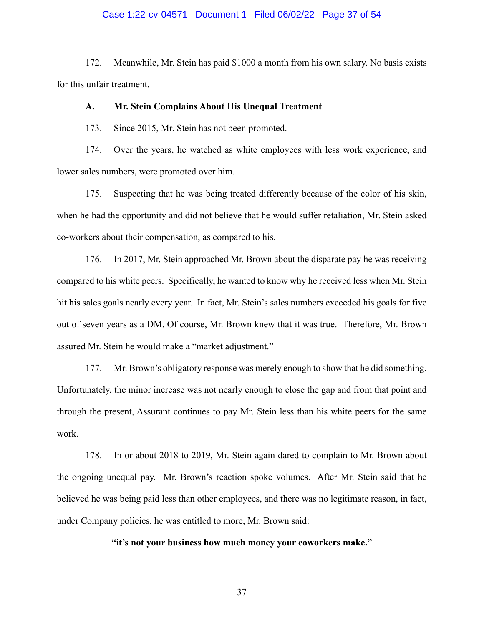#### Case 1:22-cv-04571 Document 1 Filed 06/02/22 Page 37 of 54

172. Meanwhile, Mr. Stein has paid \$1000 a month from his own salary. No basis exists for this unfair treatment.

#### **A. Mr. Stein Complains About His Unequal Treatment**

173. Since 2015, Mr. Stein has not been promoted.

174. Over the years, he watched as white employees with less work experience, and lower sales numbers, were promoted over him.

175. Suspecting that he was being treated differently because of the color of his skin, when he had the opportunity and did not believe that he would suffer retaliation, Mr. Stein asked co-workers about their compensation, as compared to his.

176. In 2017, Mr. Stein approached Mr. Brown about the disparate pay he was receiving compared to his white peers. Specifically, he wanted to know why he received less when Mr. Stein hit his sales goals nearly every year. In fact, Mr. Stein's sales numbers exceeded his goals for five out of seven years as a DM. Of course, Mr. Brown knew that it was true. Therefore, Mr. Brown assured Mr. Stein he would make a "market adjustment."

177. Mr. Brown's obligatory response was merely enough to show that he did something. Unfortunately, the minor increase was not nearly enough to close the gap and from that point and through the present, Assurant continues to pay Mr. Stein less than his white peers for the same work.

178. In or about 2018 to 2019, Mr. Stein again dared to complain to Mr. Brown about the ongoing unequal pay. Mr. Brown's reaction spoke volumes. After Mr. Stein said that he believed he was being paid less than other employees, and there was no legitimate reason, in fact, under Company policies, he was entitled to more, Mr. Brown said:

**"it's not your business how much money your coworkers make."**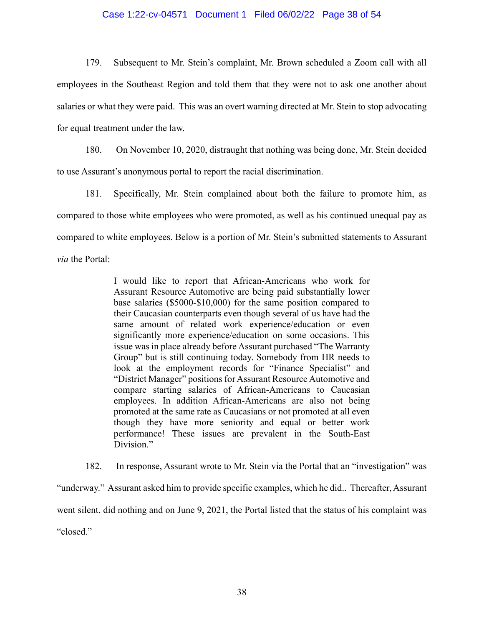#### Case 1:22-cv-04571 Document 1 Filed 06/02/22 Page 38 of 54

179. Subsequent to Mr. Stein's complaint, Mr. Brown scheduled a Zoom call with all employees in the Southeast Region and told them that they were not to ask one another about salaries or what they were paid. This was an overt warning directed at Mr. Stein to stop advocating for equal treatment under the law.

180. On November 10, 2020, distraught that nothing was being done, Mr. Stein decided to use Assurant's anonymous portal to report the racial discrimination.

181. Specifically, Mr. Stein complained about both the failure to promote him, as compared to those white employees who were promoted, as well as his continued unequal pay as compared to white employees. Below is a portion of Mr. Stein's submitted statements to Assurant *via* the Portal:

> I would like to report that African-Americans who work for Assurant Resource Automotive are being paid substantially lower base salaries (\$5000-\$10,000) for the same position compared to their Caucasian counterparts even though several of us have had the same amount of related work experience/education or even significantly more experience/education on some occasions. This issue was in place already before Assurant purchased "The Warranty Group" but is still continuing today. Somebody from HR needs to look at the employment records for "Finance Specialist" and "District Manager" positions for Assurant Resource Automotive and compare starting salaries of African-Americans to Caucasian employees. In addition African-Americans are also not being promoted at the same rate as Caucasians or not promoted at all even though they have more seniority and equal or better work performance! These issues are prevalent in the South-East Division."

182. In response, Assurant wrote to Mr. Stein via the Portal that an "investigation" was "underway." Assurant asked him to provide specific examples, which he did.. Thereafter, Assurant went silent, did nothing and on June 9, 2021, the Portal listed that the status of his complaint was "closed."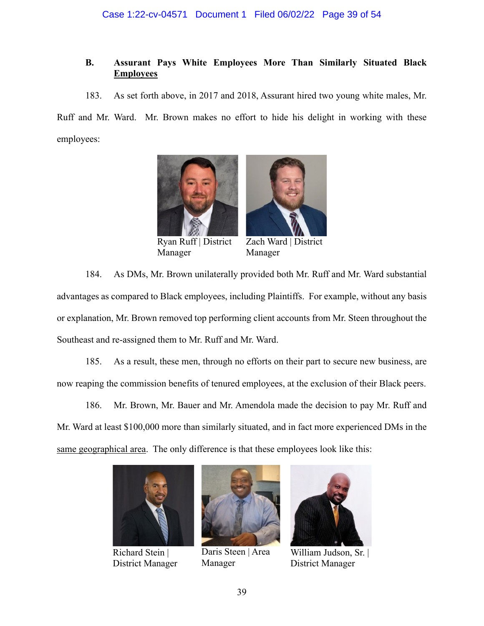# **B. Assurant Pays White Employees More Than Similarly Situated Black Employees**

183. As set forth above, in 2017 and 2018, Assurant hired two young white males, Mr.

Ruff and Mr. Ward. Mr. Brown makes no effort to hide his delight in working with these employees:





Ryan Ruff | District Manager

Zach Ward | District Manager

184. As DMs, Mr. Brown unilaterally provided both Mr. Ruff and Mr. Ward substantial advantages as compared to Black employees, including Plaintiffs. For example, without any basis or explanation, Mr. Brown removed top performing client accounts from Mr. Steen throughout the Southeast and re-assigned them to Mr. Ruff and Mr. Ward.

185. As a result, these men, through no efforts on their part to secure new business, are now reaping the commission benefits of tenured employees, at the exclusion of their Black peers.

186. Mr. Brown, Mr. Bauer and Mr. Amendola made the decision to pay Mr. Ruff and Mr. Ward at least \$100,000 more than similarly situated, and in fact more experienced DMs in the same geographical area. The only difference is that these employees look like this:



Richard Stein | District Manager



Daris Steen | Area Manager



William Judson, Sr. | District Manager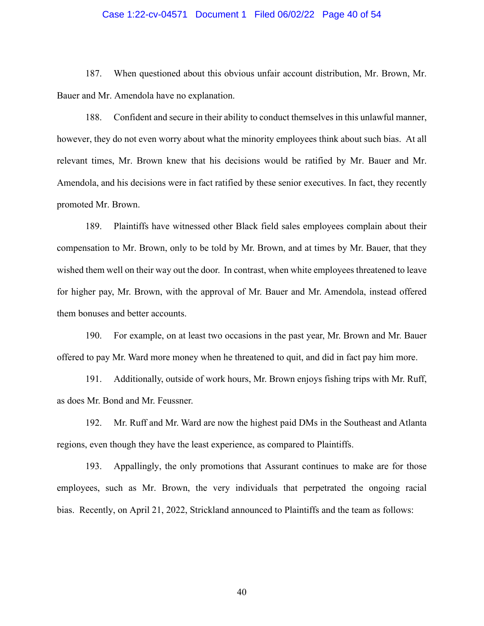#### Case 1:22-cv-04571 Document 1 Filed 06/02/22 Page 40 of 54

187. When questioned about this obvious unfair account distribution, Mr. Brown, Mr. Bauer and Mr. Amendola have no explanation.

188. Confident and secure in their ability to conduct themselves in this unlawful manner, however, they do not even worry about what the minority employees think about such bias. At all relevant times, Mr. Brown knew that his decisions would be ratified by Mr. Bauer and Mr. Amendola, and his decisions were in fact ratified by these senior executives. In fact, they recently promoted Mr. Brown.

189. Plaintiffs have witnessed other Black field sales employees complain about their compensation to Mr. Brown, only to be told by Mr. Brown, and at times by Mr. Bauer, that they wished them well on their way out the door. In contrast, when white employees threatened to leave for higher pay, Mr. Brown, with the approval of Mr. Bauer and Mr. Amendola, instead offered them bonuses and better accounts.

190. For example, on at least two occasions in the past year, Mr. Brown and Mr. Bauer offered to pay Mr. Ward more money when he threatened to quit, and did in fact pay him more.

191. Additionally, outside of work hours, Mr. Brown enjoys fishing trips with Mr. Ruff, as does Mr. Bond and Mr. Feussner.

192. Mr. Ruff and Mr. Ward are now the highest paid DMs in the Southeast and Atlanta regions, even though they have the least experience, as compared to Plaintiffs.

193. Appallingly, the only promotions that Assurant continues to make are for those employees, such as Mr. Brown, the very individuals that perpetrated the ongoing racial bias. Recently, on April 21, 2022, Strickland announced to Plaintiffs and the team as follows: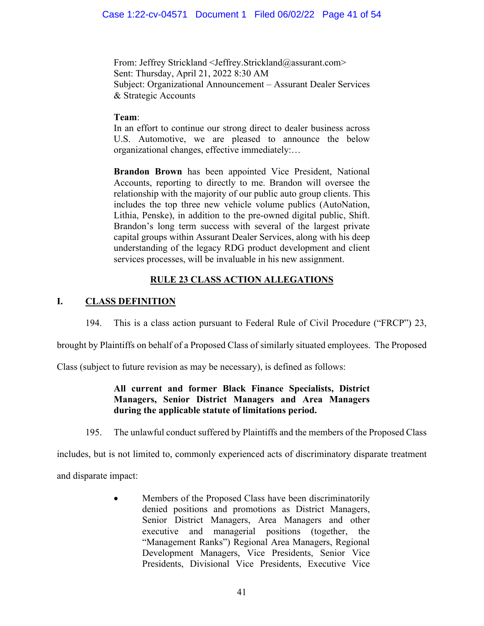From: Jeffrey Strickland <Jeffrey.Strickland@assurant.com> Sent: Thursday, April 21, 2022 8:30 AM Subject: Organizational Announcement – Assurant Dealer Services & Strategic Accounts

# **Team**:

In an effort to continue our strong direct to dealer business across U.S. Automotive, we are pleased to announce the below organizational changes, effective immediately:…

**Brandon Brown** has been appointed Vice President, National Accounts, reporting to directly to me. Brandon will oversee the relationship with the majority of our public auto group clients. This includes the top three new vehicle volume publics (AutoNation, Lithia, Penske), in addition to the pre‐owned digital public, Shift. Brandon's long term success with several of the largest private capital groups within Assurant Dealer Services, along with his deep understanding of the legacy RDG product development and client services processes, will be invaluable in his new assignment.

# **RULE 23 CLASS ACTION ALLEGATIONS**

# **I. CLASS DEFINITION**

194. This is a class action pursuant to Federal Rule of Civil Procedure ("FRCP") 23,

brought by Plaintiffs on behalf of a Proposed Class of similarly situated employees. The Proposed

Class (subject to future revision as may be necessary), is defined as follows:

# **All current and former Black Finance Specialists, District Managers, Senior District Managers and Area Managers during the applicable statute of limitations period.**

195. The unlawful conduct suffered by Plaintiffs and the members of the Proposed Class

includes, but is not limited to, commonly experienced acts of discriminatory disparate treatment

and disparate impact:

Members of the Proposed Class have been discriminatorily denied positions and promotions as District Managers, Senior District Managers, Area Managers and other executive and managerial positions (together, the "Management Ranks") Regional Area Managers, Regional Development Managers, Vice Presidents, Senior Vice Presidents, Divisional Vice Presidents, Executive Vice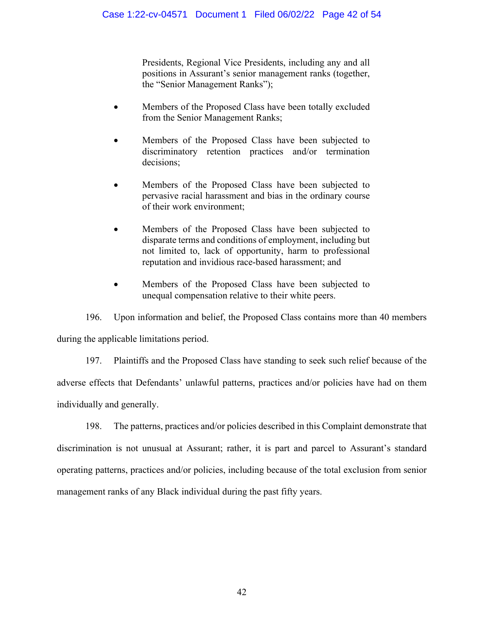Presidents, Regional Vice Presidents, including any and all positions in Assurant's senior management ranks (together, the "Senior Management Ranks");

- Members of the Proposed Class have been totally excluded from the Senior Management Ranks;
- Members of the Proposed Class have been subjected to discriminatory retention practices and/or termination decisions;
- Members of the Proposed Class have been subjected to pervasive racial harassment and bias in the ordinary course of their work environment;
- Members of the Proposed Class have been subjected to disparate terms and conditions of employment, including but not limited to, lack of opportunity, harm to professional reputation and invidious race-based harassment; and
- Members of the Proposed Class have been subjected to unequal compensation relative to their white peers.

196. Upon information and belief, the Proposed Class contains more than 40 members during the applicable limitations period.

197. Plaintiffs and the Proposed Class have standing to seek such relief because of the adverse effects that Defendants' unlawful patterns, practices and/or policies have had on them individually and generally.

198. The patterns, practices and/or policies described in this Complaint demonstrate that discrimination is not unusual at Assurant; rather, it is part and parcel to Assurant's standard operating patterns, practices and/or policies, including because of the total exclusion from senior management ranks of any Black individual during the past fifty years.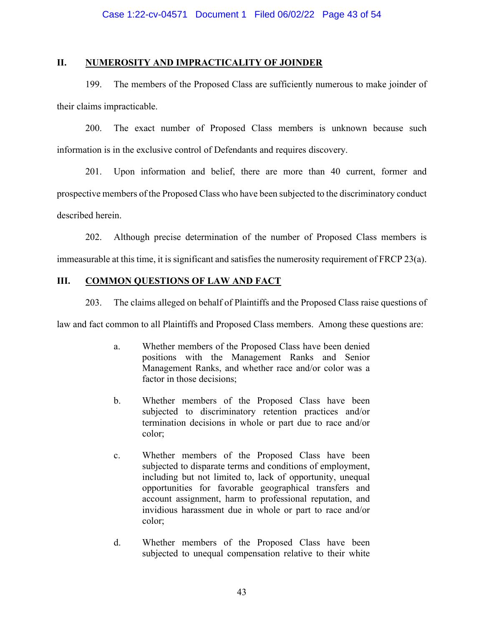## **II. NUMEROSITY AND IMPRACTICALITY OF JOINDER**

199. The members of the Proposed Class are sufficiently numerous to make joinder of their claims impracticable.

200. The exact number of Proposed Class members is unknown because such information is in the exclusive control of Defendants and requires discovery.

201. Upon information and belief, there are more than 40 current, former and prospective members of the Proposed Class who have been subjected to the discriminatory conduct described herein.

202. Although precise determination of the number of Proposed Class members is immeasurable at this time, it is significant and satisfies the numerosity requirement of FRCP 23(a).

# **III. COMMON QUESTIONS OF LAW AND FACT**

203. The claims alleged on behalf of Plaintiffs and the Proposed Class raise questions of

law and fact common to all Plaintiffs and Proposed Class members. Among these questions are:

- a. Whether members of the Proposed Class have been denied positions with the Management Ranks and Senior Management Ranks, and whether race and/or color was a factor in those decisions;
- b. Whether members of the Proposed Class have been subjected to discriminatory retention practices and/or termination decisions in whole or part due to race and/or color;
- c. Whether members of the Proposed Class have been subjected to disparate terms and conditions of employment, including but not limited to, lack of opportunity, unequal opportunities for favorable geographical transfers and account assignment, harm to professional reputation, and invidious harassment due in whole or part to race and/or color;
- d. Whether members of the Proposed Class have been subjected to unequal compensation relative to their white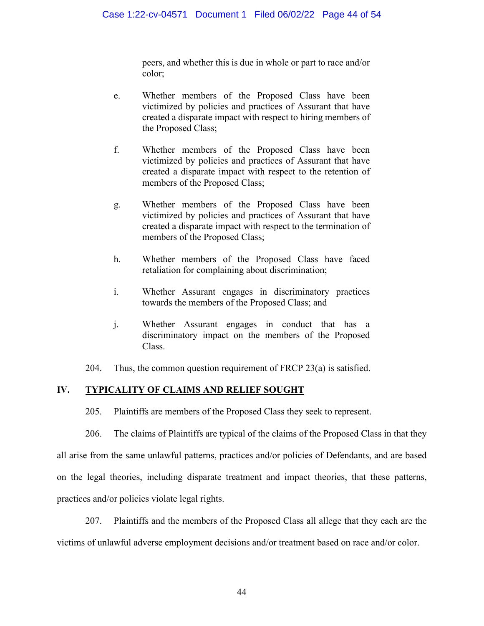peers, and whether this is due in whole or part to race and/or color;

- e. Whether members of the Proposed Class have been victimized by policies and practices of Assurant that have created a disparate impact with respect to hiring members of the Proposed Class;
- f. Whether members of the Proposed Class have been victimized by policies and practices of Assurant that have created a disparate impact with respect to the retention of members of the Proposed Class;
- g. Whether members of the Proposed Class have been victimized by policies and practices of Assurant that have created a disparate impact with respect to the termination of members of the Proposed Class;
- h. Whether members of the Proposed Class have faced retaliation for complaining about discrimination;
- i. Whether Assurant engages in discriminatory practices towards the members of the Proposed Class; and
- j. Whether Assurant engages in conduct that has a discriminatory impact on the members of the Proposed Class.

204. Thus, the common question requirement of FRCP 23(a) is satisfied.

# **IV. TYPICALITY OF CLAIMS AND RELIEF SOUGHT**

205. Plaintiffs are members of the Proposed Class they seek to represent.

206. The claims of Plaintiffs are typical of the claims of the Proposed Class in that they all arise from the same unlawful patterns, practices and/or policies of Defendants, and are based on the legal theories, including disparate treatment and impact theories, that these patterns, practices and/or policies violate legal rights.

207. Plaintiffs and the members of the Proposed Class all allege that they each are the victims of unlawful adverse employment decisions and/or treatment based on race and/or color.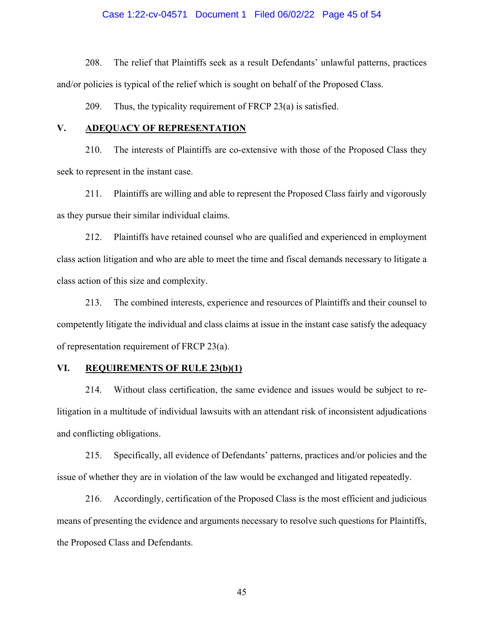#### Case 1:22-cv-04571 Document 1 Filed 06/02/22 Page 45 of 54

208. The relief that Plaintiffs seek as a result Defendants' unlawful patterns, practices and/or policies is typical of the relief which is sought on behalf of the Proposed Class.

209. Thus, the typicality requirement of FRCP 23(a) is satisfied.

#### **V. ADEQUACY OF REPRESENTATION**

210. The interests of Plaintiffs are co-extensive with those of the Proposed Class they seek to represent in the instant case.

211. Plaintiffs are willing and able to represent the Proposed Class fairly and vigorously as they pursue their similar individual claims.

212. Plaintiffs have retained counsel who are qualified and experienced in employment class action litigation and who are able to meet the time and fiscal demands necessary to litigate a class action of this size and complexity.

213. The combined interests, experience and resources of Plaintiffs and their counsel to competently litigate the individual and class claims at issue in the instant case satisfy the adequacy of representation requirement of FRCP 23(a).

### **VI. REQUIREMENTS OF RULE 23(b)(1)**

214. Without class certification, the same evidence and issues would be subject to relitigation in a multitude of individual lawsuits with an attendant risk of inconsistent adjudications and conflicting obligations.

215. Specifically, all evidence of Defendants' patterns, practices and/or policies and the issue of whether they are in violation of the law would be exchanged and litigated repeatedly.

216. Accordingly, certification of the Proposed Class is the most efficient and judicious means of presenting the evidence and arguments necessary to resolve such questions for Plaintiffs, the Proposed Class and Defendants.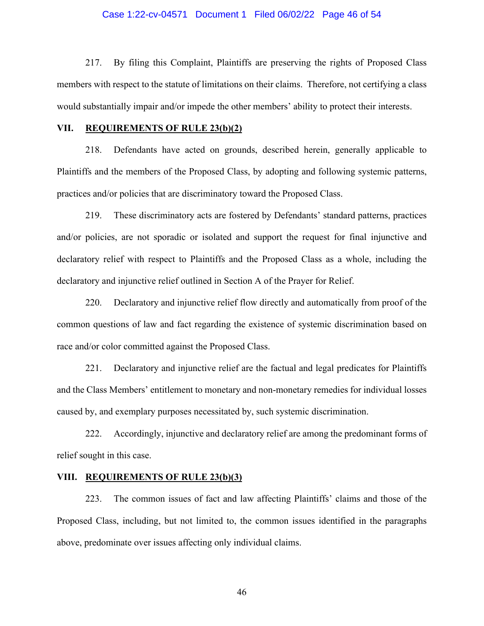#### Case 1:22-cv-04571 Document 1 Filed 06/02/22 Page 46 of 54

217. By filing this Complaint, Plaintiffs are preserving the rights of Proposed Class members with respect to the statute of limitations on their claims. Therefore, not certifying a class would substantially impair and/or impede the other members' ability to protect their interests.

#### **VII. REQUIREMENTS OF RULE 23(b)(2)**

218. Defendants have acted on grounds, described herein, generally applicable to Plaintiffs and the members of the Proposed Class, by adopting and following systemic patterns, practices and/or policies that are discriminatory toward the Proposed Class.

219. These discriminatory acts are fostered by Defendants' standard patterns, practices and/or policies, are not sporadic or isolated and support the request for final injunctive and declaratory relief with respect to Plaintiffs and the Proposed Class as a whole, including the declaratory and injunctive relief outlined in Section A of the Prayer for Relief.

220. Declaratory and injunctive relief flow directly and automatically from proof of the common questions of law and fact regarding the existence of systemic discrimination based on race and/or color committed against the Proposed Class.

221. Declaratory and injunctive relief are the factual and legal predicates for Plaintiffs and the Class Members' entitlement to monetary and non-monetary remedies for individual losses caused by, and exemplary purposes necessitated by, such systemic discrimination.

222. Accordingly, injunctive and declaratory relief are among the predominant forms of relief sought in this case.

#### **VIII. REQUIREMENTS OF RULE 23(b)(3)**

223. The common issues of fact and law affecting Plaintiffs' claims and those of the Proposed Class, including, but not limited to, the common issues identified in the paragraphs above, predominate over issues affecting only individual claims.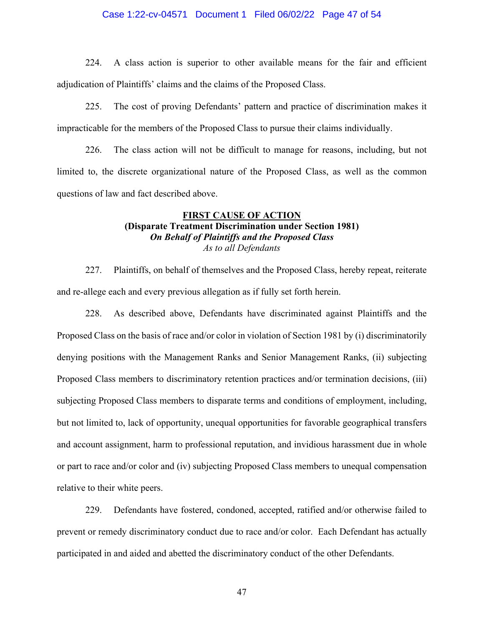#### Case 1:22-cv-04571 Document 1 Filed 06/02/22 Page 47 of 54

224. A class action is superior to other available means for the fair and efficient adjudication of Plaintiffs' claims and the claims of the Proposed Class.

225. The cost of proving Defendants' pattern and practice of discrimination makes it impracticable for the members of the Proposed Class to pursue their claims individually.

226. The class action will not be difficult to manage for reasons, including, but not limited to, the discrete organizational nature of the Proposed Class, as well as the common questions of law and fact described above.

### **FIRST CAUSE OF ACTION (Disparate Treatment Discrimination under Section 1981)**  *On Behalf of Plaintiffs and the Proposed Class As to all Defendants*

227. Plaintiffs, on behalf of themselves and the Proposed Class, hereby repeat, reiterate and re-allege each and every previous allegation as if fully set forth herein.

228. As described above, Defendants have discriminated against Plaintiffs and the Proposed Class on the basis of race and/or color in violation of Section 1981 by (i) discriminatorily denying positions with the Management Ranks and Senior Management Ranks, (ii) subjecting Proposed Class members to discriminatory retention practices and/or termination decisions, (iii) subjecting Proposed Class members to disparate terms and conditions of employment, including, but not limited to, lack of opportunity, unequal opportunities for favorable geographical transfers and account assignment, harm to professional reputation, and invidious harassment due in whole or part to race and/or color and (iv) subjecting Proposed Class members to unequal compensation relative to their white peers.

229. Defendants have fostered, condoned, accepted, ratified and/or otherwise failed to prevent or remedy discriminatory conduct due to race and/or color. Each Defendant has actually participated in and aided and abetted the discriminatory conduct of the other Defendants.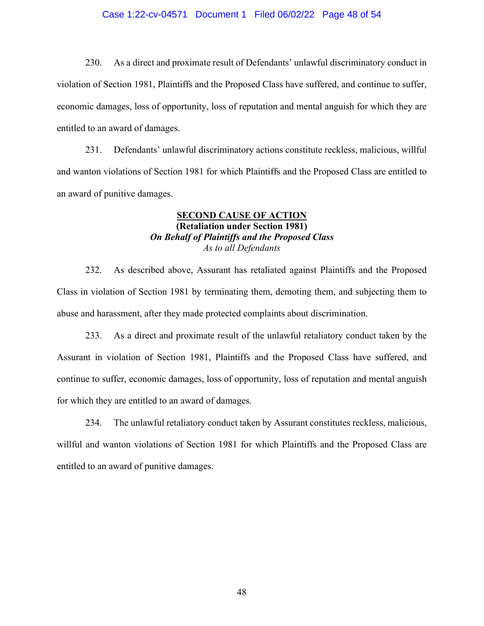#### Case 1:22-cv-04571 Document 1 Filed 06/02/22 Page 48 of 54

230. As a direct and proximate result of Defendants' unlawful discriminatory conduct in violation of Section 1981, Plaintiffs and the Proposed Class have suffered, and continue to suffer, economic damages, loss of opportunity, loss of reputation and mental anguish for which they are entitled to an award of damages.

231. Defendants' unlawful discriminatory actions constitute reckless, malicious, willful and wanton violations of Section 1981 for which Plaintiffs and the Proposed Class are entitled to an award of punitive damages.

## **SECOND CAUSE OF ACTION (Retaliation under Section 1981)**  *On Behalf of Plaintiffs and the Proposed Class As to all Defendants*

232. As described above, Assurant has retaliated against Plaintiffs and the Proposed Class in violation of Section 1981 by terminating them, demoting them, and subjecting them to abuse and harassment, after they made protected complaints about discrimination.

233. As a direct and proximate result of the unlawful retaliatory conduct taken by the Assurant in violation of Section 1981, Plaintiffs and the Proposed Class have suffered, and continue to suffer, economic damages, loss of opportunity, loss of reputation and mental anguish for which they are entitled to an award of damages.

234. The unlawful retaliatory conduct taken by Assurant constitutes reckless, malicious, willful and wanton violations of Section 1981 for which Plaintiffs and the Proposed Class are entitled to an award of punitive damages.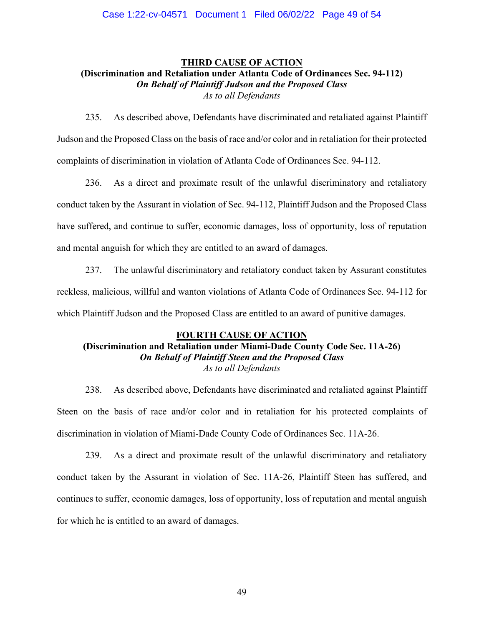# **THIRD CAUSE OF ACTION (Discrimination and Retaliation under Atlanta Code of Ordinances Sec. 94-112)**  *On Behalf of Plaintiff Judson and the Proposed Class As to all Defendants*

235. As described above, Defendants have discriminated and retaliated against Plaintiff Judson and the Proposed Class on the basis of race and/or color and in retaliation for their protected complaints of discrimination in violation of Atlanta Code of Ordinances Sec. 94-112.

236. As a direct and proximate result of the unlawful discriminatory and retaliatory conduct taken by the Assurant in violation of Sec. 94-112, Plaintiff Judson and the Proposed Class have suffered, and continue to suffer, economic damages, loss of opportunity, loss of reputation and mental anguish for which they are entitled to an award of damages.

237. The unlawful discriminatory and retaliatory conduct taken by Assurant constitutes reckless, malicious, willful and wanton violations of Atlanta Code of Ordinances Sec. 94-112 for which Plaintiff Judson and the Proposed Class are entitled to an award of punitive damages.

# **FOURTH CAUSE OF ACTION**

## **(Discrimination and Retaliation under Miami-Dade County Code Sec. 11A-26)**  *On Behalf of Plaintiff Steen and the Proposed Class As to all Defendants*

238. As described above, Defendants have discriminated and retaliated against Plaintiff Steen on the basis of race and/or color and in retaliation for his protected complaints of discrimination in violation of Miami-Dade County Code of Ordinances Sec. 11A-26.

239. As a direct and proximate result of the unlawful discriminatory and retaliatory conduct taken by the Assurant in violation of Sec. 11A-26, Plaintiff Steen has suffered, and continues to suffer, economic damages, loss of opportunity, loss of reputation and mental anguish for which he is entitled to an award of damages.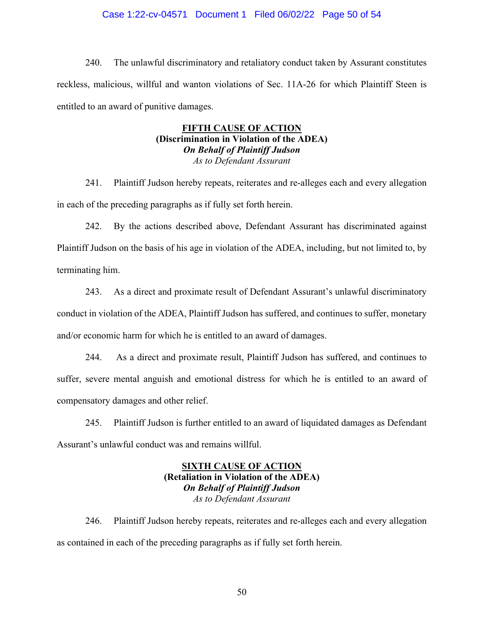#### Case 1:22-cv-04571 Document 1 Filed 06/02/22 Page 50 of 54

240. The unlawful discriminatory and retaliatory conduct taken by Assurant constitutes reckless, malicious, willful and wanton violations of Sec. 11A-26 for which Plaintiff Steen is entitled to an award of punitive damages.

## **FIFTH CAUSE OF ACTION (Discrimination in Violation of the ADEA)** *On Behalf of Plaintiff Judson As to Defendant Assurant*

241. Plaintiff Judson hereby repeats, reiterates and re-alleges each and every allegation in each of the preceding paragraphs as if fully set forth herein.

242. By the actions described above, Defendant Assurant has discriminated against Plaintiff Judson on the basis of his age in violation of the ADEA, including, but not limited to, by terminating him.

243. As a direct and proximate result of Defendant Assurant's unlawful discriminatory conduct in violation of the ADEA, Plaintiff Judson has suffered, and continues to suffer, monetary and/or economic harm for which he is entitled to an award of damages.

244. As a direct and proximate result, Plaintiff Judson has suffered, and continues to suffer, severe mental anguish and emotional distress for which he is entitled to an award of compensatory damages and other relief.

245. Plaintiff Judson is further entitled to an award of liquidated damages as Defendant Assurant's unlawful conduct was and remains willful.

## **SIXTH CAUSE OF ACTION (Retaliation in Violation of the ADEA)** *On Behalf of Plaintiff Judson As to Defendant Assurant*

246. Plaintiff Judson hereby repeats, reiterates and re-alleges each and every allegation as contained in each of the preceding paragraphs as if fully set forth herein.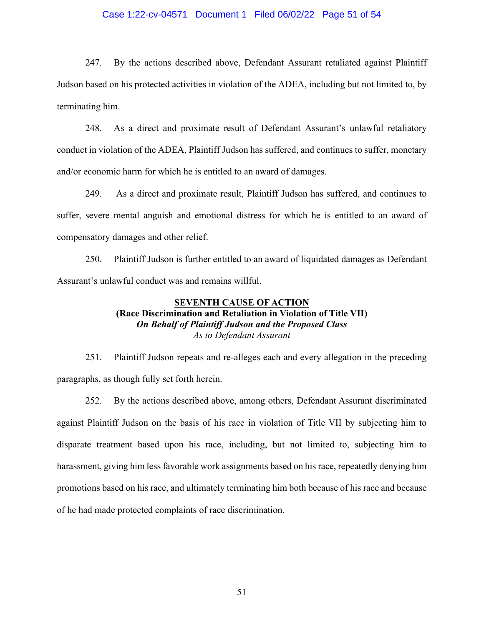#### Case 1:22-cv-04571 Document 1 Filed 06/02/22 Page 51 of 54

247. By the actions described above, Defendant Assurant retaliated against Plaintiff Judson based on his protected activities in violation of the ADEA, including but not limited to, by terminating him.

248. As a direct and proximate result of Defendant Assurant's unlawful retaliatory conduct in violation of the ADEA, Plaintiff Judson has suffered, and continues to suffer, monetary and/or economic harm for which he is entitled to an award of damages.

249. As a direct and proximate result, Plaintiff Judson has suffered, and continues to suffer, severe mental anguish and emotional distress for which he is entitled to an award of compensatory damages and other relief.

250. Plaintiff Judson is further entitled to an award of liquidated damages as Defendant Assurant's unlawful conduct was and remains willful.

### **SEVENTH CAUSE OF ACTION (Race Discrimination and Retaliation in Violation of Title VII)** *On Behalf of Plaintiff Judson and the Proposed Class As to Defendant Assurant*

251. Plaintiff Judson repeats and re-alleges each and every allegation in the preceding paragraphs, as though fully set forth herein.

252. By the actions described above, among others, Defendant Assurant discriminated against Plaintiff Judson on the basis of his race in violation of Title VII by subjecting him to disparate treatment based upon his race, including, but not limited to, subjecting him to harassment, giving him less favorable work assignments based on his race, repeatedly denying him promotions based on his race, and ultimately terminating him both because of his race and because of he had made protected complaints of race discrimination.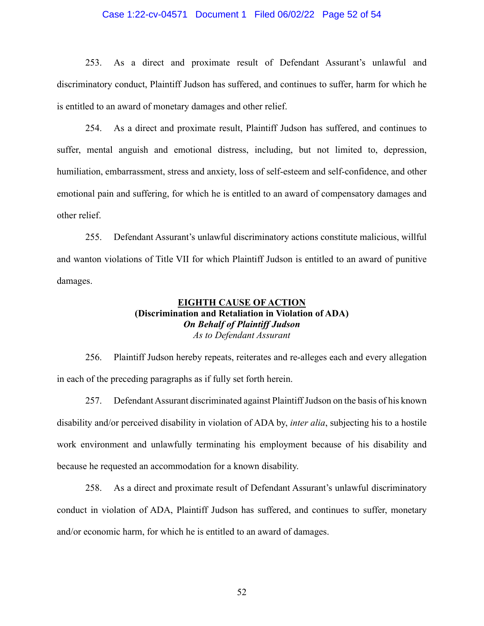#### Case 1:22-cv-04571 Document 1 Filed 06/02/22 Page 52 of 54

253. As a direct and proximate result of Defendant Assurant's unlawful and discriminatory conduct, Plaintiff Judson has suffered, and continues to suffer, harm for which he is entitled to an award of monetary damages and other relief.

254. As a direct and proximate result, Plaintiff Judson has suffered, and continues to suffer, mental anguish and emotional distress, including, but not limited to, depression, humiliation, embarrassment, stress and anxiety, loss of self-esteem and self-confidence, and other emotional pain and suffering, for which he is entitled to an award of compensatory damages and other relief.

255. Defendant Assurant's unlawful discriminatory actions constitute malicious, willful and wanton violations of Title VII for which Plaintiff Judson is entitled to an award of punitive damages.

## **EIGHTH CAUSE OF ACTION (Discrimination and Retaliation in Violation of ADA)** *On Behalf of Plaintiff Judson As to Defendant Assurant*

256. Plaintiff Judson hereby repeats, reiterates and re-alleges each and every allegation in each of the preceding paragraphs as if fully set forth herein.

257. Defendant Assurant discriminated against Plaintiff Judson on the basis of his known disability and/or perceived disability in violation of ADA by, *inter alia*, subjecting his to a hostile work environment and unlawfully terminating his employment because of his disability and because he requested an accommodation for a known disability.

258. As a direct and proximate result of Defendant Assurant's unlawful discriminatory conduct in violation of ADA, Plaintiff Judson has suffered, and continues to suffer, monetary and/or economic harm, for which he is entitled to an award of damages.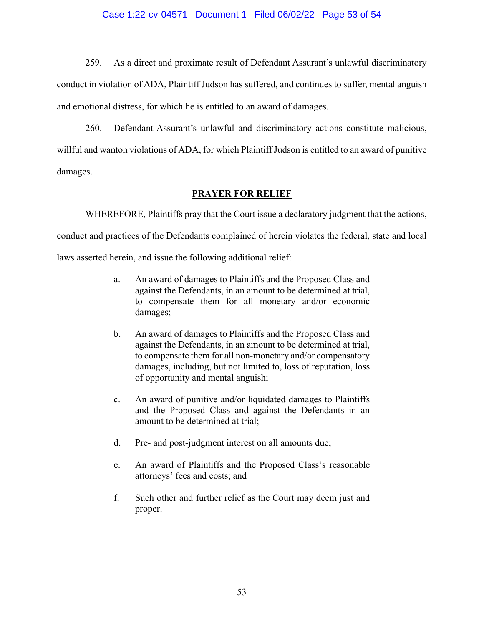#### Case 1:22-cv-04571 Document 1 Filed 06/02/22 Page 53 of 54

259. As a direct and proximate result of Defendant Assurant's unlawful discriminatory conduct in violation of ADA, Plaintiff Judson has suffered, and continues to suffer, mental anguish and emotional distress, for which he is entitled to an award of damages.

260. Defendant Assurant's unlawful and discriminatory actions constitute malicious, willful and wanton violations of ADA, for which Plaintiff Judson is entitled to an award of punitive damages.

#### **PRAYER FOR RELIEF**

WHEREFORE, Plaintiffs pray that the Court issue a declaratory judgment that the actions,

conduct and practices of the Defendants complained of herein violates the federal, state and local

laws asserted herein, and issue the following additional relief:

- a. An award of damages to Plaintiffs and the Proposed Class and against the Defendants, in an amount to be determined at trial, to compensate them for all monetary and/or economic damages;
- b. An award of damages to Plaintiffs and the Proposed Class and against the Defendants, in an amount to be determined at trial, to compensate them for all non-monetary and/or compensatory damages, including, but not limited to, loss of reputation, loss of opportunity and mental anguish;
- c. An award of punitive and/or liquidated damages to Plaintiffs and the Proposed Class and against the Defendants in an amount to be determined at trial;
- d. Pre- and post-judgment interest on all amounts due;
- e. An award of Plaintiffs and the Proposed Class's reasonable attorneys' fees and costs; and
- f. Such other and further relief as the Court may deem just and proper.